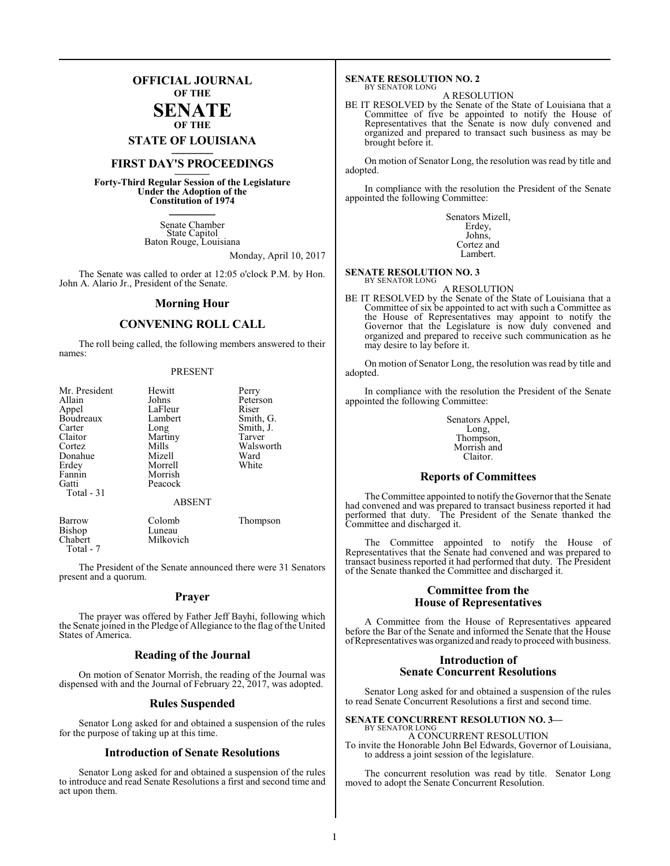### **OFFICIAL JOURNAL OF THE**

### **SENATE OF THE**

**STATE OF LOUISIANA \_\_\_\_\_\_\_**

### **FIRST DAY'S PROCEEDINGS \_\_\_\_\_\_\_**

**Forty-Third Regular Session of the Legislature Under the Adoption of the Constitution of 1974 \_\_\_\_\_\_\_**

> Senate Chamber State Capitol Baton Rouge, Louisiana

> > Monday, April 10, 2017

The Senate was called to order at 12:05 o'clock P.M. by Hon. John A. Alario Jr., President of the Senate.

### **Morning Hour**

### **CONVENING ROLL CALL**

The roll being called, the following members answered to their names:

### PRESENT

| Mr. President<br>Allain<br>Appel<br>Boudreaux<br>Carter<br>Claitor<br>Cortez<br>Donahue<br>Erdey<br>Fannin<br>Gatti<br>Total $-31$ | Hewitt<br>Johns<br>LaFleur<br>Lambert<br>Long<br>Martiny<br>Mills<br>Mizell<br>Morrell<br>Morrish<br>Peacock<br><b>ABSENT</b> | Perry<br>Peterson<br>Riser<br>Smith, G.<br>Smith, J.<br>Tarver<br>Walsworth<br>Ward<br>White |
|------------------------------------------------------------------------------------------------------------------------------------|-------------------------------------------------------------------------------------------------------------------------------|----------------------------------------------------------------------------------------------|
|                                                                                                                                    |                                                                                                                               |                                                                                              |
| Barrow                                                                                                                             | Colomb                                                                                                                        | Thompson                                                                                     |

The President of the Senate announced there were 31 Senators present and a quorum.

Milkovich

Bishop Luneau<br>Chabert Milkov

Total - 7

### **Prayer**

The prayer was offered by Father Jeff Bayhi, following which the Senate joined in the Pledge of Allegiance to the flag of the United States of America.

### **Reading of the Journal**

On motion of Senator Morrish, the reading of the Journal was dispensed with and the Journal of February 22, 2017, was adopted.

### **Rules Suspended**

Senator Long asked for and obtained a suspension of the rules for the purpose of taking up at this time.

### **Introduction of Senate Resolutions**

Senator Long asked for and obtained a suspension of the rules to introduce and read Senate Resolutions a first and second time and act upon them.

#### **SENATE RESOLUTION NO. 2** BY SENATOR LONG

A RESOLUTION

BE IT RESOLVED by the Senate of the State of Louisiana that a Committee of five be appointed to notify the House of Representatives that the Senate is now duly convened and organized and prepared to transact such business as may be brought before it.

On motion of Senator Long, the resolution was read by title and adopted.

In compliance with the resolution the President of the Senate appointed the following Committee:

> Senators Mizell, Erdey, Johns, Cortez and Lambert.

**SENATE RESOLUTION NO. 3** BY SENATOR LONG

A RESOLUTION

BE IT RESOLVED by the Senate of the State of Louisiana that a Committee of six be appointed to act with such a Committee as the House of Representatives may appoint to notify the Governor that the Legislature is now duly convened and organized and prepared to receive such communication as he may desire to lay before it.

On motion of Senator Long, the resolution was read by title and adopted.

In compliance with the resolution the President of the Senate appointed the following Committee:

> Senators Appel, Long, Thompson, Morrish and Claitor.

### **Reports of Committees**

The Committee appointed to notify the Governor that the Senate had convened and was prepared to transact business reported it had performed that duty. The President of the Senate thanked the Committee and discharged it.

The Committee appointed to notify the House of Representatives that the Senate had convened and was prepared to transact business reported it had performed that duty. The President of the Senate thanked the Committee and discharged it.

### **Committee from the House of Representatives**

A Committee from the House of Representatives appeared before the Bar of the Senate and informed the Senate that the House of Representatives was organized and ready to proceed with business.

### **Introduction of Senate Concurrent Resolutions**

Senator Long asked for and obtained a suspension of the rules to read Senate Concurrent Resolutions a first and second time.

### **SENATE CONCURRENT RESOLUTION NO. 3—** BY SENATOR LONG

A CONCURRENT RESOLUTION To invite the Honorable John Bel Edwards, Governor of Louisiana, to address a joint session of the legislature.

The concurrent resolution was read by title. Senator Long moved to adopt the Senate Concurrent Resolution.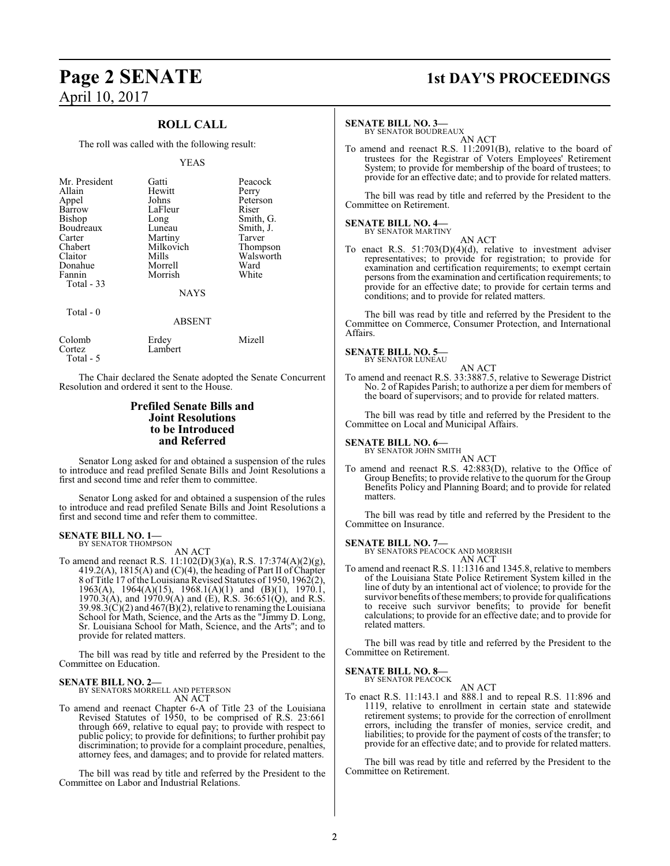### **ROLL CALL**

The roll was called with the following result:

### YEAS

| Mr. President<br>Allain<br>Appel<br>Barrow<br>Bishop<br>Boudreaux<br>Carter<br>Chabert<br>Claitor<br>Donahue<br>Fannin<br>Total - 33 | Gatti<br>Hewitt<br>Johns<br>LaFleur<br>Long<br>Luneau<br>Martiny<br>Milkovich<br>Mills<br>Morrell<br>Morrish | Peacock<br>Perry<br>Peterson<br>Riser<br>Smith, G.<br>Smith, J.<br>Tarver<br>Thompson<br>Walsworth<br>Ward<br>White |
|--------------------------------------------------------------------------------------------------------------------------------------|--------------------------------------------------------------------------------------------------------------|---------------------------------------------------------------------------------------------------------------------|
|                                                                                                                                      | <b>NAYS</b>                                                                                                  |                                                                                                                     |
| Total $-0$                                                                                                                           | <b>ABSENT</b>                                                                                                |                                                                                                                     |
| $\sim$ 1 1                                                                                                                           | $E_{\rm{1}}$                                                                                                 | $\mathbf{A} \mathbf{f}^* = \mathbf{11}$                                                                             |

| Colomb     | Erdev   | Mizell |
|------------|---------|--------|
| Cortez     | Lambert |        |
| Total $-5$ |         |        |

The Chair declared the Senate adopted the Senate Concurrent Resolution and ordered it sent to the House.

### **Prefiled Senate Bills and Joint Resolutions to be Introduced and Referred**

Senator Long asked for and obtained a suspension of the rules to introduce and read prefiled Senate Bills and Joint Resolutions a first and second time and refer them to committee.

Senator Long asked for and obtained a suspension of the rules to introduce and read prefiled Senate Bills and Joint Resolutions a first and second time and refer them to committee.

### **SENATE BILL NO. 1—**<br>BY SENATOR THOMPSON

AN ACT

To amend and reenact R.S. 11:102(D)(3)(a), R.S. 17:374(A)(2)(g), 419.2(A), 1815(A) and (C)(4), the heading of Part II of Chapter 8 of Title 17 ofthe Louisiana Revised Statutes of 1950, 1962(2), 1963(A), 1964(A)(15), 1968.1(A)(1) and (B)(1), 1970.1,  $1970.3(A)$ , and  $1970.9(A)$  and  $(E)$ , R.S.  $36.651(Q)$ , and R.S. 39.98.3( $\ddot{C}$ )(2) and 467( $\dot{B}$ )(2), relative to renaming the Louisiana School for Math, Science, and the Arts as the "Jimmy D. Long, Sr. Louisiana School for Math, Science, and the Arts"; and to provide for related matters.

The bill was read by title and referred by the President to the Committee on Education.

### **SENATE BILL NO. 2—**

BY SENATORS MORRELL AND PETERSON AN ACT

To amend and reenact Chapter 6-A of Title 23 of the Louisiana Revised Statutes of 1950, to be comprised of R.S. 23:661 through 669, relative to equal pay; to provide with respect to public policy; to provide for definitions; to further prohibit pay discrimination; to provide for a complaint procedure, penalties, attorney fees, and damages; and to provide for related matters.

The bill was read by title and referred by the President to the Committee on Labor and Industrial Relations.

## **Page 2 SENATE 1st DAY'S PROCEEDINGS**

### **SENATE BILL NO. 3—**

BY SENATOR BOUDREAUX AN ACT

To amend and reenact R.S. 11:2091(B), relative to the board of trustees for the Registrar of Voters Employees' Retirement System; to provide for membership of the board of trustees; to provide for an effective date; and to provide for related matters.

The bill was read by title and referred by the President to the Committee on Retirement.

#### **SENATE BILL NO. 4—** BY SENATOR MARTINY

AN ACT To enact R.S. 51:703(D)(4)(d), relative to investment adviser representatives; to provide for registration; to provide for examination and certification requirements; to exempt certain persons from the examination and certification requirements; to provide for an effective date; to provide for certain terms and conditions; and to provide for related matters.

The bill was read by title and referred by the President to the Committee on Commerce, Consumer Protection, and International Affairs.

### **SENATE BILL NO. 5—** BY SENATOR LUNEAU

AN ACT To amend and reenact R.S. 33:3887.5, relative to Sewerage District No. 2 of Rapides Parish; to authorize a per diem for members of

the board of supervisors; and to provide for related matters.

The bill was read by title and referred by the President to the Committee on Local and Municipal Affairs.

### **SENATE BILL NO. 6—**<br>BY SENATOR JOHN SMITH

AN ACT To amend and reenact R.S. 42:883(D), relative to the Office of Group Benefits; to provide relative to the quorum for the Group Benefits Policy and Planning Board; and to provide for related matters.

The bill was read by title and referred by the President to the Committee on Insurance.

**SENATE BILL NO. 7—**

BY SENATORS PEACOCK AND MORRISH AN ACT

To amend and reenact R.S. 11:1316 and 1345.8, relative to members of the Louisiana State Police Retirement System killed in the line of duty by an intentional act of violence; to provide for the survivor benefits of these members; to provide for qualifications to receive such survivor benefits; to provide for benefit calculations; to provide for an effective date; and to provide for related matters.

The bill was read by title and referred by the President to the Committee on Retirement.

### **SENATE BILL NO. 8—**

BY SENATOR PEACOCK

### AN ACT

To enact R.S. 11:143.1 and 888.1 and to repeal R.S. 11:896 and 1119, relative to enrollment in certain state and statewide retirement systems; to provide for the correction of enrollment errors, including the transfer of monies, service credit, and liabilities; to provide for the payment of costs of the transfer; to provide for an effective date; and to provide for related matters.

The bill was read by title and referred by the President to the Committee on Retirement.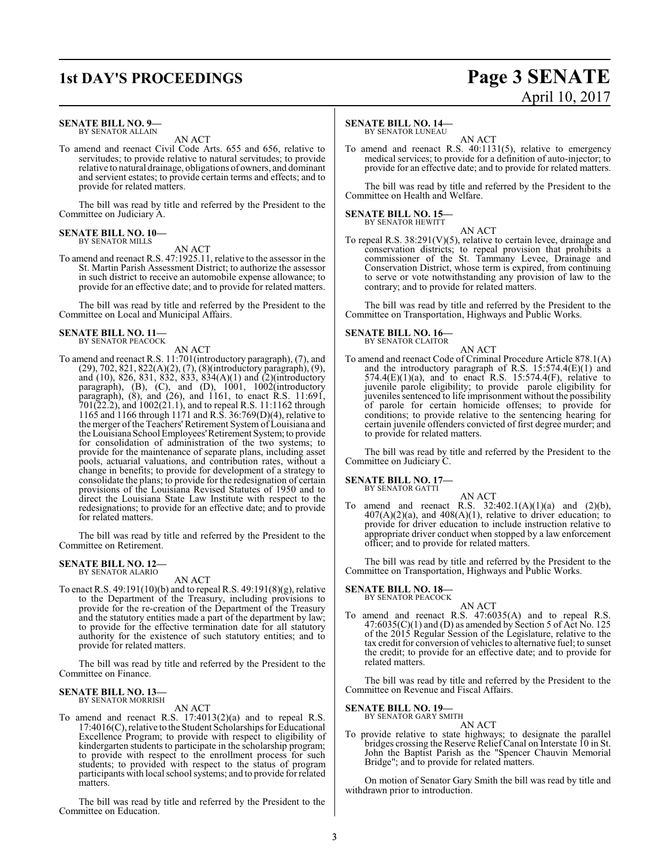# **1st DAY'S PROCEEDINGS Page 3 SENATE**

### **SENATE BILL NO. 9—** BY SENATOR ALLAIN

AN ACT

To amend and reenact Civil Code Arts. 655 and 656, relative to servitudes; to provide relative to natural servitudes; to provide relative to natural drainage, obligations of owners, and dominant and servient estates; to provide certain terms and effects; and to provide for related matters.

The bill was read by title and referred by the President to the Committee on Judiciary A.

#### **SENATE BILL NO. 10—** BY SENATOR MILLS

AN ACT

To amend and reenact R.S. 47:1925.11, relative to the assessor in the St. Martin Parish Assessment District; to authorize the assessor in such district to receive an automobile expense allowance; to provide for an effective date; and to provide for related matters.

The bill was read by title and referred by the President to the Committee on Local and Municipal Affairs.

### **SENATE BILL NO. 11—** BY SENATOR PEACOCK

AN ACT

To amend and reenact R.S. 11:701(introductory paragraph), (7), and (29), 702, 821, 822(A)(2), (7), (8)(introductory paragraph), (9), and (10), 826, 831, 832, 833, 834(A)(1) and (2)(introductory paragraph), (B), (C), and (D), 1001, 1002(introductory paragraph), (8), and (26), and 1161, to enact R.S. 11:691, 701(22.2), and 1002(21.1), and to repeal R.S. 11:1162 through 1165 and 1166 through 1171 and R.S. 36:769(D)(4), relative to the merger of the Teachers' Retirement System of Louisiana and the Louisiana School Employees' Retirement System; to provide for consolidation of administration of the two systems; to provide for the maintenance of separate plans, including asset pools, actuarial valuations, and contribution rates, without a change in benefits; to provide for development of a strategy to consolidate the plans; to provide for the redesignation of certain provisions of the Louisiana Revised Statutes of 1950 and to direct the Louisiana State Law Institute with respect to the redesignations; to provide for an effective date; and to provide for related matters.

The bill was read by title and referred by the President to the Committee on Retirement.

### **SENATE BILL NO. 12—** BY SENATOR ALARIO

AN ACT

To enact R.S. 49:191(10)(b) and to repeal R.S. 49:191(8)(g), relative to the Department of the Treasury, including provisions to provide for the re-creation of the Department of the Treasury and the statutory entities made a part of the department by law; to provide for the effective termination date for all statutory authority for the existence of such statutory entities; and to provide for related matters.

The bill was read by title and referred by the President to the Committee on Finance.

### **SENATE BILL NO. 13—** BY SENATOR MORRISH

AN ACT

To amend and reenact R.S. 17:4013(2)(a) and to repeal R.S. 17:4016(C), relative to the Student Scholarships for Educational Excellence Program; to provide with respect to eligibility of kindergarten students to participate in the scholarship program; to provide with respect to the enrollment process for such students; to provided with respect to the status of program participants with local school systems; and to provide for related matters

The bill was read by title and referred by the President to the Committee on Education.

### **SENATE BILL NO. 14—**

BY SENATOR LUNEAU

AN ACT To amend and reenact R.S. 40:1131(5), relative to emergency medical services; to provide for a definition of auto-injector; to provide for an effective date; and to provide for related matters.

The bill was read by title and referred by the President to the Committee on Health and Welfare.

### **SENATE BILL NO. 15—**

BY SENATOR HEWITT AN ACT

To repeal R.S. 38:291(V)(5), relative to certain levee, drainage and conservation districts; to repeal provision that prohibits a commissioner of the St. Tammany Levee, Drainage and Conservation District, whose term is expired, from continuing to serve or vote notwithstanding any provision of law to the contrary; and to provide for related matters.

The bill was read by title and referred by the President to the Committee on Transportation, Highways and Public Works.

### **SENATE BILL NO. 16—**<br>BY SENATOR CLAITOR

AN ACT To amend and reenact Code of Criminal Procedure Article 878.1(A) and the introductory paragraph of R.S. 15:574.4(E)(1) and 574.4(E)(1)(a), and to enact R.S. 15:574.4(F), relative to juvenile parole eligibility; to provide parole eligibility for juveniles sentenced to life imprisonment without the possibility of parole for certain homicide offenses; to provide for conditions; to provide relative to the sentencing hearing for certain juvenile offenders convicted of first degree murder; and to provide for related matters.

The bill was read by title and referred by the President to the Committee on Judiciary C.

### **SENATE BILL NO. 17—** BY SENATOR GATTI

AN ACT To amend and reenact R.S.  $32:402.1(A)(1)(a)$  and  $(2)(b)$ , 407(A)(2)(a), and 408(A)(1), relative to driver education; to provide for driver education to include instruction relative to appropriate driver conduct when stopped by a law enforcement officer; and to provide for related matters.

The bill was read by title and referred by the President to the Committee on Transportation, Highways and Public Works.

### **SENATE BILL NO. 18—**<br>BY SENATOR PEACOCK

To amend and reenact R.S. 47:6035(A) and to repeal R.S. 47:6035(C)(1) and (D) as amended by Section 5 of Act No. 125 of the 2015 Regular Session of the Legislature, relative to the tax credit for conversion of vehicles to alternative fuel; to sunset the credit; to provide for an effective date; and to provide for related matters.

AN ACT

The bill was read by title and referred by the President to the Committee on Revenue and Fiscal Affairs.

### **SENATE BILL NO. 19—**<br>BY SENATOR GARY SMITH

AN ACT

To provide relative to state highways; to designate the parallel bridges crossing the Reserve Relief Canal on Interstate 10 in St. John the Baptist Parish as the "Spencer Chauvin Memorial Bridge"; and to provide for related matters.

On motion of Senator Gary Smith the bill was read by title and withdrawn prior to introduction.

3

# April 10, 2017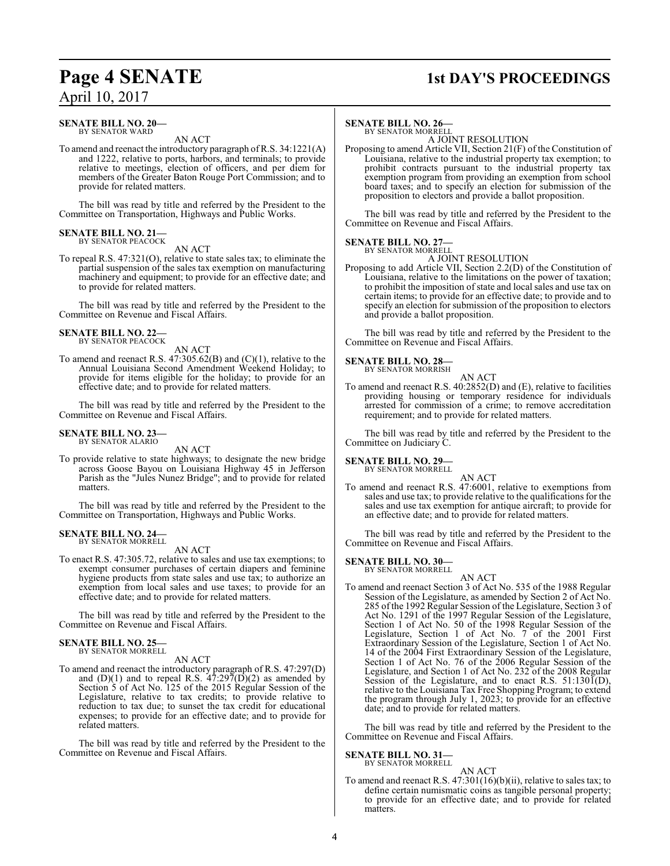## **Page 4 SENATE 1st DAY'S PROCEEDINGS**

### **SENATE BILL NO. 20—** BY SENATOR WARD

### AN ACT

To amend and reenact the introductory paragraph ofR.S. 34:1221(A) and 1222, relative to ports, harbors, and terminals; to provide relative to meetings, election of officers, and per diem for members of the Greater Baton Rouge Port Commission; and to provide for related matters.

The bill was read by title and referred by the President to the Committee on Transportation, Highways and Public Works.

#### **SENATE BILL NO. 21—** BY SENATOR PEACOCK

AN ACT

To repeal R.S. 47:321(O), relative to state sales tax; to eliminate the partial suspension of the sales tax exemption on manufacturing machinery and equipment; to provide for an effective date; and to provide for related matters.

The bill was read by title and referred by the President to the Committee on Revenue and Fiscal Affairs.

#### **SENATE BILL NO. 22—** BY SENATOR PEACOCK

AN ACT

To amend and reenact R.S. 47:305.62(B) and (C)(1), relative to the Annual Louisiana Second Amendment Weekend Holiday; to provide for items eligible for the holiday; to provide for an effective date; and to provide for related matters.

The bill was read by title and referred by the President to the Committee on Revenue and Fiscal Affairs.

### **SENATE BILL NO. 23—** BY SENATOR ALARIO

AN ACT

To provide relative to state highways; to designate the new bridge across Goose Bayou on Louisiana Highway 45 in Jefferson Parish as the "Jules Nunez Bridge"; and to provide for related matters.

The bill was read by title and referred by the President to the Committee on Transportation, Highways and Public Works.

### **SENATE BILL NO. 24—**

BY SENATOR MORRELL

### AN ACT

To enact R.S. 47:305.72, relative to sales and use tax exemptions; to exempt consumer purchases of certain diapers and feminine hygiene products from state sales and use tax; to authorize an exemption from local sales and use taxes; to provide for an effective date; and to provide for related matters.

The bill was read by title and referred by the President to the Committee on Revenue and Fiscal Affairs.

### **SENATE BILL NO. 25—** BY SENATOR MORRELL

AN ACT

To amend and reenact the introductory paragraph of R.S. 47:297(D) and  $(D)(1)$  and to repeal R.S.  $47:297(D)(2)$  as amended by Section 5 of Act No. 125 of the 2015 Regular Session of the Legislature, relative to tax credits; to provide relative to reduction to tax due; to sunset the tax credit for educational expenses; to provide for an effective date; and to provide for related matters.

The bill was read by title and referred by the President to the Committee on Revenue and Fiscal Affairs.

### **SENATE BILL NO. 26—**

BY SENATOR MORRELL A JOINT RESOLUTION

Proposing to amend Article VII, Section 21(F) of the Constitution of Louisiana, relative to the industrial property tax exemption; to prohibit contracts pursuant to the industrial property tax exemption program from providing an exemption from school board taxes; and to specify an election for submission of the proposition to electors and provide a ballot proposition.

The bill was read by title and referred by the President to the Committee on Revenue and Fiscal Affairs.

### **SENATE BILL NO. 27—** BY SENATOR MORRELL

A JOINT RESOLUTION

Proposing to add Article VII, Section 2.2(D) of the Constitution of Louisiana, relative to the limitations on the power of taxation; to prohibit the imposition of state and local sales and use tax on certain items; to provide for an effective date; to provide and to specify an election for submission of the proposition to electors and provide a ballot proposition.

The bill was read by title and referred by the President to the Committee on Revenue and Fiscal Affairs.

### **SENATE BILL NO. 28—**

BY SENATOR MORRISH AN ACT

To amend and reenact R.S. 40:2852(D) and (E), relative to facilities providing housing or temporary residence for individuals arrested for commission of a crime; to remove accreditation requirement; and to provide for related matters.

The bill was read by title and referred by the President to the Committee on Judiciary C.

### **SENATE BILL NO. 29—** BY SENATOR MORRELL

AN ACT

To amend and reenact R.S. 47:6001, relative to exemptions from sales and use tax; to provide relative to the qualifications for the sales and use tax exemption for antique aircraft; to provide for an effective date; and to provide for related matters.

The bill was read by title and referred by the President to the Committee on Revenue and Fiscal Affairs.

### **SENATE BILL NO. 30—**

BY SENATOR MORRELL

AN ACT To amend and reenact Section 3 of Act No. 535 of the 1988 Regular Session of the Legislature, as amended by Section 2 of Act No. 285 of the 1992 Regular Session of the Legislature, Section 3 of Act No. 1291 of the 1997 Regular Session of the Legislature, Section 1 of Act No. 50 of the 1998 Regular Session of the Legislature, Section 1 of Act No. 7 of the 2001 First Extraordinary Session of the Legislature, Section 1 of Act No. 14 of the 2004 First Extraordinary Session of the Legislature, Section 1 of Act No. 76 of the 2006 Regular Session of the Legislature, and Section 1 of Act No. 232 of the 2008 Regular Session of the Legislature, and to enact R.S.  $51:130\tilde{I}(D)$ , relative to the Louisiana Tax Free Shopping Program; to extend the program through July 1, 2023; to provide for an effective date; and to provide for related matters.

The bill was read by title and referred by the President to the Committee on Revenue and Fiscal Affairs.

### **SENATE BILL NO. 31—**

BY SENATOR MORRELL

AN ACT To amend and reenact R.S. 47:301(16)(b)(ii), relative to sales tax; to define certain numismatic coins as tangible personal property; to provide for an effective date; and to provide for related matters.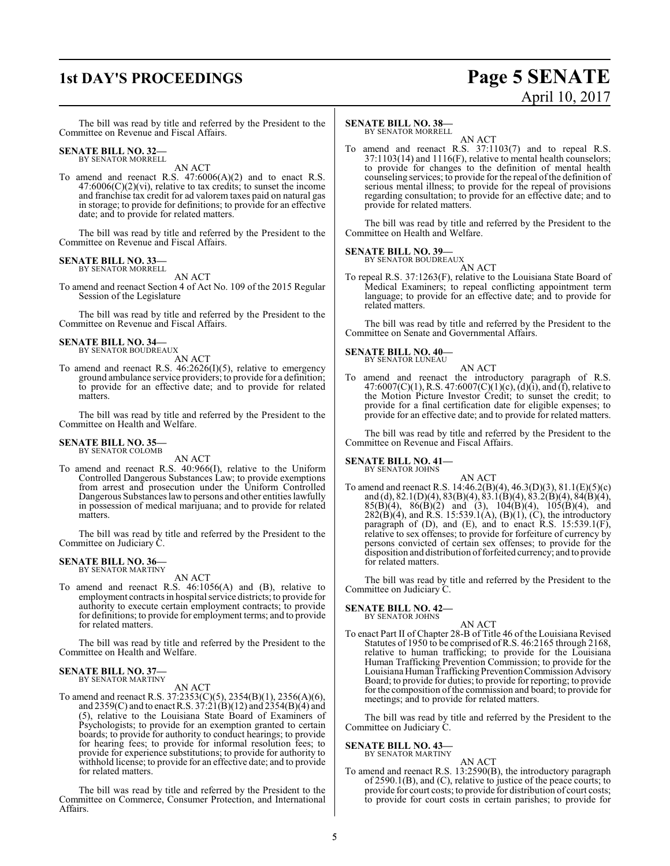### **1st DAY'S PROCEEDINGS Page 5 SENATE** April 10, 2017

The bill was read by title and referred by the President to the Committee on Revenue and Fiscal Affairs.

#### **SENATE BILL NO. 32—** BY SENATOR MORRELL

AN ACT

To amend and reenact R.S. 47:6006(A)(2) and to enact R.S.  $47:6006(C)(2)(vi)$ , relative to tax credits; to sunset the income and franchise tax credit for ad valorem taxes paid on natural gas in storage; to provide for definitions; to provide for an effective date; and to provide for related matters.

The bill was read by title and referred by the President to the Committee on Revenue and Fiscal Affairs.

### **SENATE BILL NO. 33—** BY SENATOR MORRELL

AN ACT

To amend and reenact Section 4 of Act No. 109 of the 2015 Regular Session of the Legislature

The bill was read by title and referred by the President to the Committee on Revenue and Fiscal Affairs.

### **SENATE BILL NO. 34—** BY SENATOR BOUDREAUX

AN ACT

To amend and reenact R.S.  $46:2626(I)(5)$ , relative to emergency ground ambulance service providers; to provide for a definition; to provide for an effective date; and to provide for related matters.

The bill was read by title and referred by the President to the Committee on Health and Welfare.

### **SENATE BILL NO. 35—** BY SENATOR COLOMB

AN ACT

To amend and reenact R.S. 40:966(I), relative to the Uniform Controlled Dangerous Substances Law; to provide exemptions from arrest and prosecution under the Uniform Controlled Dangerous Substances lawto persons and other entities lawfully in possession of medical marijuana; and to provide for related matters.

The bill was read by title and referred by the President to the Committee on Judiciary C.

### **SENATE BILL NO. 36—** BY SENATOR MARTINY

AN ACT

To amend and reenact R.S. 46:1056(A) and (B), relative to employment contracts in hospital service districts; to provide for authority to execute certain employment contracts; to provide for definitions; to provide for employment terms; and to provide for related matters.

The bill was read by title and referred by the President to the Committee on Health and Welfare.

### **SENATE BILL NO. 37—** BY SENATOR MARTINY

AN ACT

To amend and reenact R.S. 37:2353(C)(5), 2354(B)(1), 2356(A)(6), and 2359(C) and to enact R.S.  $37:21(B)(12)$  and  $2354(B)(4)$  and (5), relative to the Louisiana State Board of Examiners of Psychologists; to provide for an exemption granted to certain boards; to provide for authority to conduct hearings; to provide for hearing fees; to provide for informal resolution fees; to provide for experience substitutions; to provide for authority to withhold license; to provide for an effective date; and to provide for related matters.

The bill was read by title and referred by the President to the Committee on Commerce, Consumer Protection, and International Affairs.

### **SENATE BILL NO. 38—**

BY SENATOR MORRELL

AN ACT To amend and reenact R.S. 37:1103(7) and to repeal R.S. 37:1103(14) and 1116(F), relative to mental health counselors; to provide for changes to the definition of mental health counseling services; to provide for the repeal of the definition of serious mental illness; to provide for the repeal of provisions regarding consultation; to provide for an effective date; and to provide for related matters.

The bill was read by title and referred by the President to the Committee on Health and Welfare.

### **SENATE BILL NO. 39—**

BY SENATOR BOUDREAUX AN ACT

To repeal R.S. 37:1263(F), relative to the Louisiana State Board of Medical Examiners; to repeal conflicting appointment term language; to provide for an effective date; and to provide for related matters.

The bill was read by title and referred by the President to the Committee on Senate and Governmental Affairs.

### **SENATE BILL NO. 40—** BY SENATOR LUNEAU

AN ACT

To amend and reenact the introductory paragraph of R.S.  $47:6007(C)(1)$ , R.S.  $47:6007(C)(1)(c)$ , (d)(i), and (f), relative to the Motion Picture Investor Credit; to sunset the credit; to provide for a final certification date for eligible expenses; to provide for an effective date; and to provide for related matters.

The bill was read by title and referred by the President to the Committee on Revenue and Fiscal Affairs.

### **SENATE BILL NO. 41—**

- BY SENATOR JOHNS
- AN ACT To amend and reenact R.S. 14:46.2(B)(4), 46.3(D)(3), 81.1(E)(5)(c) and (d), 82.1(D)(4), 83(B)(4), 83.1(B)(4), 83.2(B)(4), 84(B)(4),  $85(\text{B})(4)$ ,  $86(\text{B})(2)$  and  $(3)$ ,  $104(\text{B})(4)$ ,  $105(\text{B})(4)$ , and  $282(B)(4)$ , and R.S. 15:539.1(A), (B)(1), (C), the introductory paragraph of  $(D)$ , and  $(E)$ , and to enact R.S. 15:539.1 $(F)$ , relative to sex offenses; to provide for forfeiture of currency by persons convicted of certain sex offenses; to provide for the disposition and distribution of forfeited currency; and to provide for related matters.

The bill was read by title and referred by the President to the Committee on Judiciary C.

### **SENATE BILL NO. 42—**

BY SENATOR JOHNS

AN ACT To enact Part II of Chapter 28-B of Title 46 of the Louisiana Revised Statutes of 1950 to be comprised ofR.S. 46:2165 through 2168, relative to human trafficking; to provide for the Louisiana Human Trafficking Prevention Commission; to provide for the Louisiana Human Trafficking Prevention Commission Advisory Board; to provide for duties; to provide for reporting; to provide for the composition of the commission and board; to provide for meetings; and to provide for related matters.

The bill was read by title and referred by the President to the Committee on Judiciary C.

### **SENATE BILL NO. 43—**<br>BY SENATOR MARTINY

### AN ACT

To amend and reenact R.S. 13:2590(B), the introductory paragraph of 2590.1(B), and (C), relative to justice of the peace courts; to provide for court costs; to provide for distribution of court costs; to provide for court costs in certain parishes; to provide for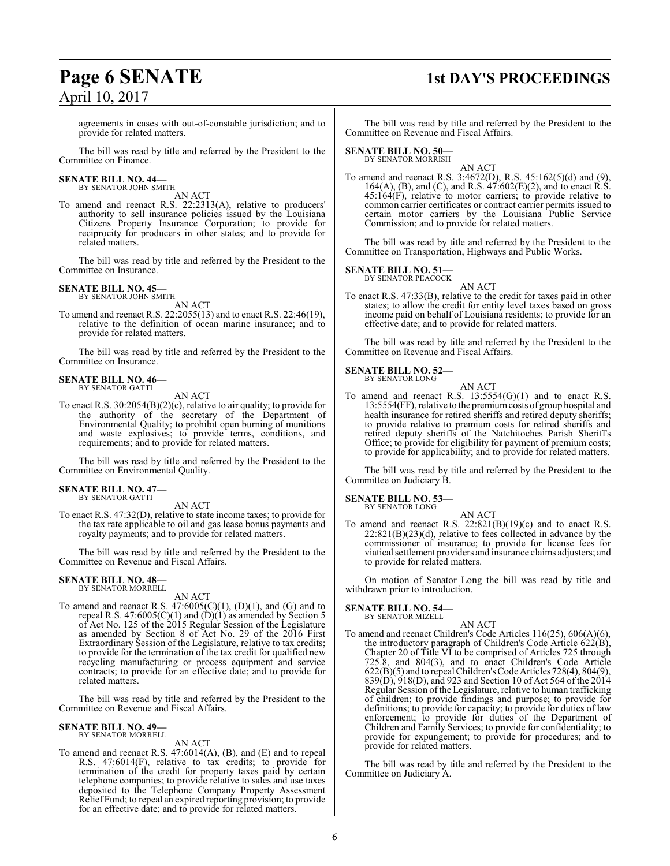# **Page 6 SENATE 1st DAY'S PROCEEDINGS**

agreements in cases with out-of-constable jurisdiction; and to provide for related matters.

The bill was read by title and referred by the President to the Committee on Finance.

### **SENATE BILL NO. 44—** BY SENATOR JOHN SMITH

AN ACT

To amend and reenact R.S. 22:2313(A), relative to producers' authority to sell insurance policies issued by the Louisiana Citizens Property Insurance Corporation; to provide for reciprocity for producers in other states; and to provide for related matters.

The bill was read by title and referred by the President to the Committee on Insurance.

### **SENATE BILL NO. 45—**

BY SENATOR JOHN SMITH AN ACT

To amend and reenact R.S. 22:2055(13) and to enact R.S. 22:46(19), relative to the definition of ocean marine insurance; and to provide for related matters.

The bill was read by title and referred by the President to the Committee on Insurance.

#### **SENATE BILL NO. 46—** BY SENATOR GATTI

AN ACT

To enact R.S. 30:2054(B)(2)(c), relative to air quality; to provide for the authority of the secretary of the Department of Environmental Quality; to prohibit open burning of munitions and waste explosives; to provide terms, conditions, and requirements; and to provide for related matters.

The bill was read by title and referred by the President to the Committee on Environmental Quality.

#### **SENATE BILL NO. 47—** BY SENATOR GATTI

AN ACT

To enact R.S. 47:32(D), relative to state income taxes; to provide for the tax rate applicable to oil and gas lease bonus payments and royalty payments; and to provide for related matters.

The bill was read by title and referred by the President to the Committee on Revenue and Fiscal Affairs.

### **SENATE BILL NO. 48—** BY SENATOR MORRELL

AN ACT

To amend and reenact R.S.  $47:6005(C)(1)$ ,  $(D)(1)$ , and  $(G)$  and to repeal R.S.  $47:6005(C)(1)$  and  $(D)(1)$  as amended by Section 5 of Act No. 125 of the 2015 Regular Session of the Legislature as amended by Section 8 of Act No. 29 of the 2016 First Extraordinary Session of the Legislature, relative to tax credits; to provide for the termination of the tax credit for qualified new recycling manufacturing or process equipment and service contracts; to provide for an effective date; and to provide for related matters.

The bill was read by title and referred by the President to the Committee on Revenue and Fiscal Affairs.

### **SENATE BILL NO. 49—** BY SENATOR MORRELL

AN ACT

To amend and reenact R.S. 47:6014(A), (B), and (E) and to repeal R.S. 47:6014(F), relative to tax credits; to provide for termination of the credit for property taxes paid by certain telephone companies; to provide relative to sales and use taxes deposited to the Telephone Company Property Assessment Relief Fund; to repeal an expired reporting provision; to provide for an effective date; and to provide for related matters.

The bill was read by title and referred by the President to the Committee on Revenue and Fiscal Affairs.

### **SENATE BILL NO. 50—**

BY SENATOR MORRISH AN ACT

To amend and reenact R.S. 3:4672(D), R.S. 45:162(5)(d) and (9), 164(A), (B), and (C), and R.S. 47:602(E)(2), and to enact R.S. 45:164(F), relative to motor carriers; to provide relative to common carrier certificates or contract carrier permits issued to certain motor carriers by the Louisiana Public Service Commission; and to provide for related matters.

The bill was read by title and referred by the President to the Committee on Transportation, Highways and Public Works.

### **SENATE BILL NO. 51—**

BY SENATOR PEACOCK

AN ACT To enact R.S. 47:33(B), relative to the credit for taxes paid in other states; to allow the credit for entity level taxes based on gross income paid on behalf of Louisiana residents; to provide for an effective date; and to provide for related matters.

The bill was read by title and referred by the President to the Committee on Revenue and Fiscal Affairs.

### **SENATE BILL NO. 52—**<br>BY SENATOR LONG

AN ACT To amend and reenact R.S. 13:5554(G)(1) and to enact R.S. 13:5554(FF), relative to the premiumcosts of group hospital and health insurance for retired sheriffs and retired deputy sheriffs; to provide relative to premium costs for retired sheriffs and retired deputy sheriffs of the Natchitoches Parish Sheriff's Office; to provide for eligibility for payment of premium costs; to provide for applicability; and to provide for related matters.

The bill was read by title and referred by the President to the Committee on Judiciary B.

### **SENATE BILL NO. 53—**

BY SENATOR LONG

AN ACT To amend and reenact R.S.  $22:821(B)(19)(c)$  and to enact R.S.  $22:821(B)(23)(d)$ , relative to fees collected in advance by the commissioner of insurance; to provide for license fees for viatical settlement providers and insurance claims adjusters; and to provide for related matters.

On motion of Senator Long the bill was read by title and withdrawn prior to introduction.

### **SENATE BILL NO. 54—** BY SENATOR MIZELL

AN ACT To amend and reenact Children's Code Articles 116(25), 606(A)(6), the introductory paragraph of Children's Code Article  $\hat{622}$ (B), Chapter 20 of Title VI to be comprised of Articles 725 through 725.8, and 804(3), and to enact Children's Code Article 622(B)(5) and to repeal Children'sCode Articles 728(4), 804(9), 839(D), 918(D), and 923 and Section 10 of Act 564 of the 2014 Regular Session of the Legislature, relative to human trafficking of children; to provide findings and purpose; to provide for definitions; to provide for capacity; to provide for duties of law enforcement; to provide for duties of the Department of Children and Family Services; to provide for confidentiality; to provide for expungement; to provide for procedures; and to provide for related matters.

The bill was read by title and referred by the President to the Committee on Judiciary A.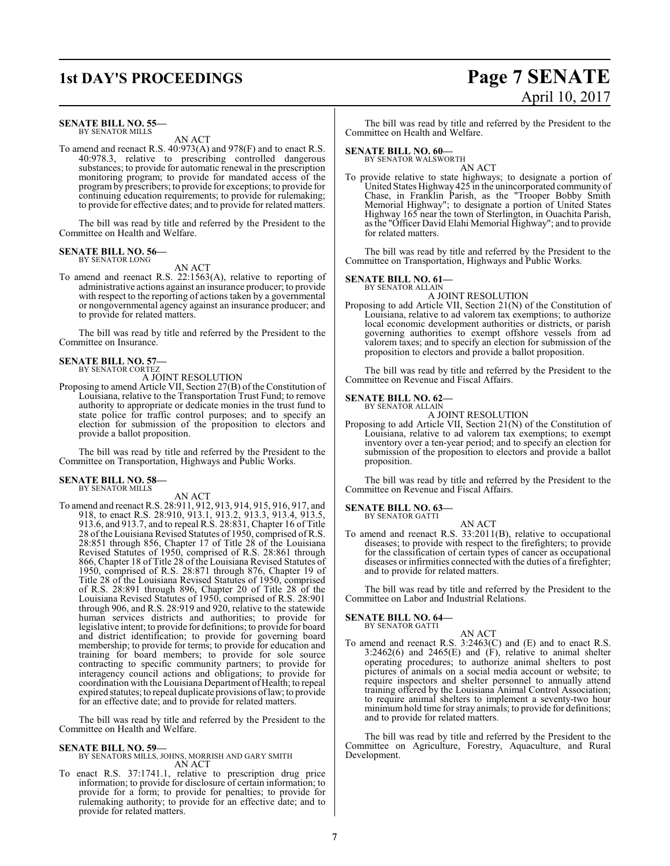### **SENATE BILL NO. 55—** BY SENATOR MILLS

### AN ACT

To amend and reenact R.S. 40:973(A) and 978(F) and to enact R.S. 40:978.3, relative to prescribing controlled dangerous substances; to provide for automatic renewal in the prescription monitoring program; to provide for mandated access of the programby prescribers; to provide for exceptions; to provide for continuing education requirements; to provide for rulemaking; to provide for effective dates; and to provide for related matters.

The bill was read by title and referred by the President to the Committee on Health and Welfare.

### **SENATE BILL NO. 56—** BY SENATOR LONG

AN ACT

To amend and reenact R.S. 22:1563(A), relative to reporting of administrative actions against an insurance producer; to provide with respect to the reporting of actions taken by a governmental or nongovernmental agency against an insurance producer; and to provide for related matters.

The bill was read by title and referred by the President to the Committee on Insurance.

#### **SENATE BILL NO. 57—** BY SENATOR CORTEZ

A JOINT RESOLUTION

Proposing to amend Article VII, Section 27(B) of the Constitution of Louisiana, relative to the Transportation Trust Fund; to remove authority to appropriate or dedicate monies in the trust fund to state police for traffic control purposes; and to specify an election for submission of the proposition to electors and provide a ballot proposition.

The bill was read by title and referred by the President to the Committee on Transportation, Highways and Public Works.

### **SENATE BILL NO. 58—** BY SENATOR MILLS

AN ACT

To amend and reenact R.S. 28:911, 912, 913, 914, 915, 916, 917, and 918, to enact R.S. 28:910, 913.1, 913.2, 913.3, 913.4, 913.5, 913.6, and 913.7, and to repeal R.S. 28:831, Chapter 16 of Title 28 of the Louisiana Revised Statutes of 1950, comprised of R.S. 28:851 through 856, Chapter 17 of Title 28 of the Louisiana Revised Statutes of 1950, comprised of R.S. 28:861 through 866, Chapter 18 of Title 28 of the Louisiana Revised Statutes of 1950, comprised of R.S. 28:871 through 876, Chapter 19 of Title 28 of the Louisiana Revised Statutes of 1950, comprised of R.S. 28:891 through 896, Chapter 20 of Title 28 of the Louisiana Revised Statutes of 1950, comprised of R.S. 28:901 through 906, and R.S. 28:919 and 920, relative to the statewide human services districts and authorities; to provide for legislative intent; to provide for definitions; to provide for board and district identification; to provide for governing board membership; to provide for terms; to provide for education and training for board members; to provide for sole source contracting to specific community partners; to provide for interagency council actions and obligations; to provide for coordination with the Louisiana Department of Health; to repeal expired statutes; to repeal duplicate provisions oflaw; to provide for an effective date; and to provide for related matters.

The bill was read by title and referred by the President to the Committee on Health and Welfare.

### **SENATE BILL NO. 59—**

BY SENATORS MILLS, JOHNS, MORRISH AND GARY SMITH AN ACT

To enact R.S. 37:1741.1, relative to prescription drug price information; to provide for disclosure of certain information; to provide for a form; to provide for penalties; to provide for rulemaking authority; to provide for an effective date; and to provide for related matters.

### **1st DAY'S PROCEEDINGS Page 7 SENATE** April 10, 2017

The bill was read by title and referred by the President to the Committee on Health and Welfare.

### **SENATE BILL NO. 60—**

BY SENATOR WALSWORTH AN ACT

To provide relative to state highways; to designate a portion of United States Highway 425 in the unincorporated community of Chase, in Franklin Parish, as the "Trooper Bobby Smith Memorial Highway"; to designate a portion of United States Highway 165 near the town of Sterlington, in Ouachita Parish, as the "Officer David Elahi Memorial Highway"; and to provide for related matters.

The bill was read by title and referred by the President to the Committee on Transportation, Highways and Public Works.

### **SENATE BILL NO. 61—**

BY SENATOR ALLAIN

- A JOINT RESOLUTION
- Proposing to add Article VII, Section 21(N) of the Constitution of Louisiana, relative to ad valorem tax exemptions; to authorize local economic development authorities or districts, or parish governing authorities to exempt offshore vessels from ad valorem taxes; and to specify an election for submission of the proposition to electors and provide a ballot proposition.

The bill was read by title and referred by the President to the Committee on Revenue and Fiscal Affairs.

### **SENATE BILL NO. 62—** BY SENATOR ALLAIN

A JOINT RESOLUTION

Proposing to add Article VII, Section 21(N) of the Constitution of Louisiana, relative to ad valorem tax exemptions; to exempt inventory over a ten-year period; and to specify an election for submission of the proposition to electors and provide a ballot proposition.

The bill was read by title and referred by the President to the Committee on Revenue and Fiscal Affairs.

### **SENATE BILL NO. 63—** BY SENATOR GATTI

AN ACT To amend and reenact R.S. 33:2011(B), relative to occupational diseases; to provide with respect to the firefighters; to provide for the classification of certain types of cancer as occupational diseases or infirmities connected with the duties of a firefighter; and to provide for related matters.

The bill was read by title and referred by the President to the Committee on Labor and Industrial Relations.

### **SENATE BILL NO. 64—**

BY SENATOR GATTI

AN ACT To amend and reenact R.S. 3:2463(C) and (E) and to enact R.S.  $3:2462(6)$  and  $2465(E)$  and  $(F)$ , relative to animal shelter operating procedures; to authorize animal shelters to post pictures of animals on a social media account or website; to require inspectors and shelter personnel to annually attend training offered by the Louisiana Animal Control Association; to require animal shelters to implement a seventy-two hour minimumhold time for stray animals; to provide for definitions; and to provide for related matters.

The bill was read by title and referred by the President to the Committee on Agriculture, Forestry, Aquaculture, and Rural Development.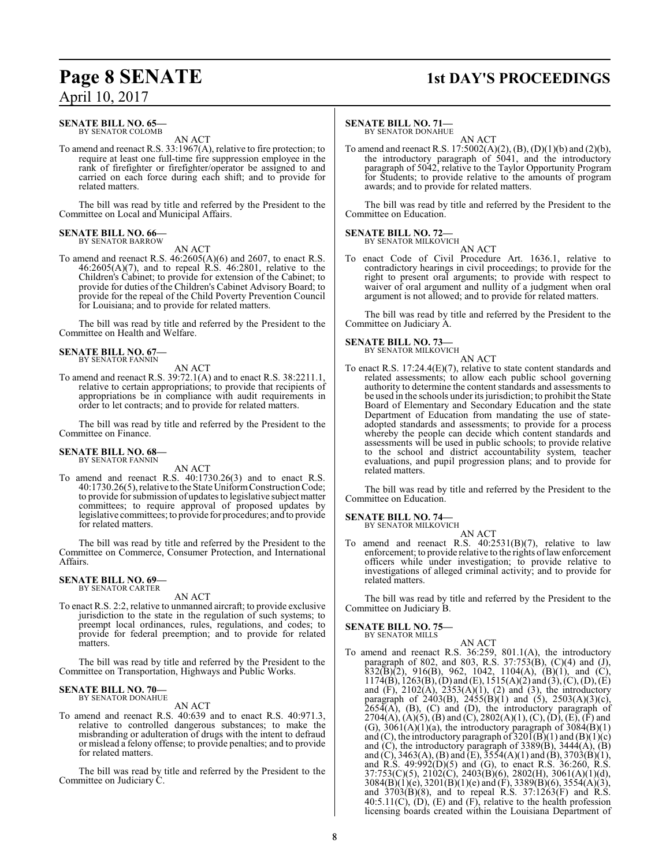### **Page 8 SENATE 1st DAY'S PROCEEDINGS**

### **SENATE BILL NO. 65—** BY SENATOR COLOMB

AN ACT

To amend and reenact R.S. 33:1967(A), relative to fire protection; to require at least one full-time fire suppression employee in the rank of firefighter or firefighter/operator be assigned to and carried on each force during each shift; and to provide for related matters.

The bill was read by title and referred by the President to the Committee on Local and Municipal Affairs.

### **SENATE BILL NO. 66—** BY SENATOR BARROW

AN ACT

To amend and reenact R.S. 46:2605(A)(6) and 2607, to enact R.S.  $46:2605(A)(7)$ , and to repeal R.S.  $46:2801$ , relative to the Children's Cabinet; to provide for extension of the Cabinet; to provide for duties of the Children's Cabinet Advisory Board; to provide for the repeal of the Child Poverty Prevention Council for Louisiana; and to provide for related matters.

The bill was read by title and referred by the President to the Committee on Health and Welfare.

### **SENATE BILL NO. 67—** BY SENATOR FANNIN

AN ACT

To amend and reenact R.S. 39:72.1(A) and to enact R.S. 38:2211.1, relative to certain appropriations; to provide that recipients of appropriations be in compliance with audit requirements in order to let contracts; and to provide for related matters.

The bill was read by title and referred by the President to the Committee on Finance.

#### **SENATE BILL NO. 68—** BY SENATOR FANNIN

AN ACT

To amend and reenact R.S. 40:1730.26(3) and to enact R.S. 40:1730.26(5), relative to the State UniformConstructionCode; to provide for submission of updates to legislative subject matter committees; to require approval of proposed updates by legislative committees; to provide for procedures; and to provide for related matters.

The bill was read by title and referred by the President to the Committee on Commerce, Consumer Protection, and International Affairs.

### **SENATE BILL NO. 69—** BY SENATOR CARTER

AN ACT

To enact R.S. 2:2, relative to unmanned aircraft; to provide exclusive jurisdiction to the state in the regulation of such systems; to preempt local ordinances, rules, regulations, and codes; to provide for federal preemption; and to provide for related matters.

The bill was read by title and referred by the President to the Committee on Transportation, Highways and Public Works.

### **SENATE BILL NO. 70—** BY SENATOR DONAHUE

AN ACT

To amend and reenact R.S. 40:639 and to enact R.S. 40:971.3, relative to controlled dangerous substances; to make the misbranding or adulteration of drugs with the intent to defraud or mislead a felony offense; to provide penalties; and to provide for related matters.

The bill was read by title and referred by the President to the Committee on Judiciary C.

### **SENATE BILL NO. 71—**

BY SENATOR DONAHUE AN ACT

To amend and reenact R.S. 17:5002(A)(2), (B), (D)(1)(b) and (2)(b), the introductory paragraph of 5041, and the introductory paragraph of 5042, relative to the Taylor Opportunity Program for Students; to provide relative to the amounts of program awards; and to provide for related matters.

The bill was read by title and referred by the President to the Committee on Education.

### **SENATE BILL NO. 72—** BY SENATOR MILKOVICH

AN ACT

To enact Code of Civil Procedure Art. 1636.1, relative to contradictory hearings in civil proceedings; to provide for the right to present oral arguments; to provide with respect to waiver of oral argument and nullity of a judgment when oral argument is not allowed; and to provide for related matters.

The bill was read by title and referred by the President to the Committee on Judiciary A.

### **SENATE BILL NO. 73—** BY SENATOR MILKOVICH

AN ACT

To enact R.S. 17:24.4(E)(7), relative to state content standards and related assessments; to allow each public school governing authority to determine the content standards and assessments to be used in the schools under its jurisdiction; to prohibit the State Board of Elementary and Secondary Education and the state Department of Education from mandating the use of stateadopted standards and assessments; to provide for a process whereby the people can decide which content standards and assessments will be used in public schools; to provide relative to the school and district accountability system, teacher evaluations, and pupil progression plans; and to provide for related matters.

The bill was read by title and referred by the President to the Committee on Education.

#### **SENATE BILL NO. 74—** BY SENATOR MILKOVICH

AN ACT

To amend and reenact R.S.  $40:2531(B)(7)$ , relative to law enforcement; to provide relative to the rights oflawenforcement officers while under investigation; to provide relative to investigations of alleged criminal activity; and to provide for related matters.

The bill was read by title and referred by the President to the Committee on Judiciary B.

### **SENATE BILL NO. 75—** BY SENATOR MILLS

AN ACT To amend and reenact R.S. 36:259, 801.1(A), the introductory paragraph of 802, and 803, R.S. 37:753(B), (C)(4) and (J),  $832(\overline{B})(2)$ , 916(B), 962, 1042, 1104(A), (B)(1), and (C),  $1174(B)$ ,  $1263(B)$ ,  $(D)$  and  $(E)$ ,  $1515(A)(2)$  and  $(3)$ ,  $(C)$ ,  $(D)$ ,  $(E)$ and  $(F)$ , 2102(A), 2353(A)(1), (2) and (3), the introductory paragraph of  $2403(B)$ ,  $2455(B)(1)$  and  $(5)$ ,  $2503(A)(3)(c)$ ,  $265\overline{4}$ (A), (B), (C) and (D), the introductory paragraph of 2704(A), (A)(5), (B) and (C), 2802(A)(1), (C), (D), (E), (F) and (G),  $3061(A)(1)(a)$ , the introductory paragraph of  $3084(B)(1)$ and (C), the introductory paragraph of  $320I(B)(1)$  and  $(B)(1)(c)$ and  $(C)$ , the introductory paragraph of 3389 $(B)$ , 3444 $(A)$ ,  $(B)$ and (C), 3463(A), (B) and (E),  $3554(A)(1)$  and (B), 3703(B)(1), and R.S. 49:992(D)(5) and (G), to enact R.S. 36:260, R.S. 37:753(C)(5), 2102(C), 2403(B)(6), 2802(H), 3061(A)(1)(d),  $3084(B)(1)(e)$ ,  $3201(B)(1)(e)$  and  $(F)$ ,  $3389(B)(6)$ ,  $3554(A)(3)$ , and 3703(B)(8), and to repeal R.S. 37:1263(F) and R.S.  $40:5.11(C)$ ,  $(D)$ ,  $(E)$  and  $(F)$ , relative to the health profession licensing boards created within the Louisiana Department of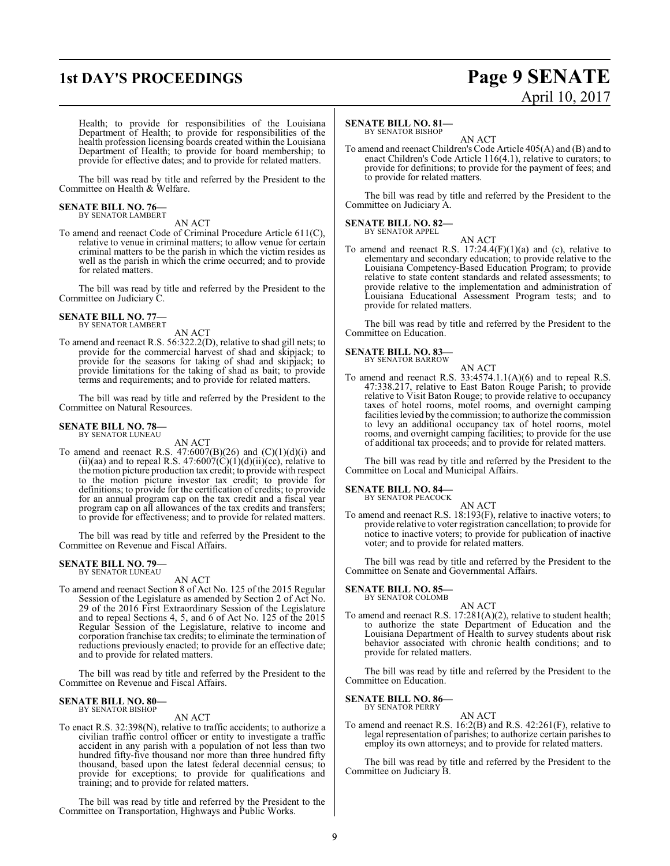### **1st DAY'S PROCEEDINGS Page 9 SENATE** April 10, 2017

Health; to provide for responsibilities of the Louisiana Department of Health; to provide for responsibilities of the health profession licensing boards created within the Louisiana Department of Health; to provide for board membership; to provide for effective dates; and to provide for related matters.

The bill was read by title and referred by the President to the Committee on Health & Welfare.

### **SENATE BILL NO. 76—** BY SENATOR LAMBERT

AN ACT

To amend and reenact Code of Criminal Procedure Article 611(C), relative to venue in criminal matters; to allow venue for certain criminal matters to be the parish in which the victim resides as well as the parish in which the crime occurred; and to provide for related matters.

The bill was read by title and referred by the President to the Committee on Judiciary C.

## **SENATE BILL NO. 77—** BY SENATOR LAMBERT

AN ACT

To amend and reenact R.S. 56:322.2(D), relative to shad gill nets; to provide for the commercial harvest of shad and skipjack; to provide for the seasons for taking of shad and skipjack; to provide limitations for the taking of shad as bait; to provide terms and requirements; and to provide for related matters.

The bill was read by title and referred by the President to the Committee on Natural Resources.

### **SENATE BILL NO. 78—** BY SENATOR LUNEAU

AN ACT

To amend and reenact R.S.  $47:6007(B)(26)$  and  $(C)(1)(d)(i)$  and (ii)(aa) and to repeal R.S.  $47:6007(\hat{C})(1)(d)(ii)(c\hat{c})$ , relative to the motion picture production tax credit; to provide with respect to the motion picture investor tax credit; to provide for definitions; to provide for the certification of credits; to provide for an annual program cap on the tax credit and a fiscal year program cap on all allowances of the tax credits and transfers; to provide for effectiveness; and to provide for related matters.

The bill was read by title and referred by the President to the Committee on Revenue and Fiscal Affairs.

### **SENATE BILL NO. 79—** BY SENATOR LUNEAU

AN ACT

To amend and reenact Section 8 of Act No. 125 of the 2015 Regular Session of the Legislature as amended by Section 2 of Act No. 29 of the 2016 First Extraordinary Session of the Legislature and to repeal Sections 4, 5, and 6 of Act No. 125 of the 2015 Regular Session of the Legislature, relative to income and corporation franchise tax credits; to eliminate the termination of reductions previously enacted; to provide for an effective date; and to provide for related matters.

The bill was read by title and referred by the President to the Committee on Revenue and Fiscal Affairs.

### **SENATE BILL NO. 80—** BY SENATOR BISHOP

AN ACT

To enact R.S. 32:398(N), relative to traffic accidents; to authorize a civilian traffic control officer or entity to investigate a traffic accident in any parish with a population of not less than two hundred fifty-five thousand nor more than three hundred fifty thousand, based upon the latest federal decennial census; to provide for exceptions; to provide for qualifications and training; and to provide for related matters.

The bill was read by title and referred by the President to the Committee on Transportation, Highways and Public Works.

### **SENATE BILL NO. 81—**

BY SENATOR BISHOP

AN ACT To amend and reenact Children's Code Article 405(A) and (B) and to enact Children's Code Article 116(4.1), relative to curators; to provide for definitions; to provide for the payment of fees; and to provide for related matters.

The bill was read by title and referred by the President to the Committee on Judiciary A.

#### **SENATE BILL NO. 82—** BY SENATOR APPEL

AN ACT To amend and reenact R.S.  $17:24.4(F)(1)(a)$  and (c), relative to elementary and secondary education; to provide relative to the Louisiana Competency-Based Education Program; to provide relative to state content standards and related assessments; to provide relative to the implementation and administration of Louisiana Educational Assessment Program tests; and to provide for related matters.

The bill was read by title and referred by the President to the Committee on Education.

### **SENATE BILL NO. 83—** BY SENATOR BARROW

AN ACT To amend and reenact R.S.  $33:4574.1.1(A)(6)$  and to repeal R.S. 47:338.217, relative to East Baton Rouge Parish; to provide relative to Visit Baton Rouge; to provide relative to occupancy taxes of hotel rooms, motel rooms, and overnight camping facilities levied by the commission; to authorize the commission to levy an additional occupancy tax of hotel rooms, motel

rooms, and overnight camping facilities; to provide for the use of additional tax proceeds; and to provide for related matters.

The bill was read by title and referred by the President to the Committee on Local and Municipal Affairs.

**SENATE BILL NO. 84—**

BY SENATOR PEACOCK

AN ACT To amend and reenact R.S. 18:193(F), relative to inactive voters; to provide relative to voter registration cancellation; to provide for notice to inactive voters; to provide for publication of inactive voter; and to provide for related matters.

The bill was read by title and referred by the President to the Committee on Senate and Governmental Affairs.

### **SENATE BILL NO. 85—** BY SENATOR COLOMB

AN ACT To amend and reenact R.S.  $17:281(A)(2)$ , relative to student health; to authorize the state Department of Education and the Louisiana Department of Health to survey students about risk behavior associated with chronic health conditions; and to provide for related matters.

The bill was read by title and referred by the President to the Committee on Education.

### **SENATE BILL NO. 86—** BY SENATOR PERRY

AN ACT To amend and reenact R.S. 16:2(B) and R.S. 42:261(F), relative to legal representation of parishes; to authorize certain parishes to employ its own attorneys; and to provide for related matters.

The bill was read by title and referred by the President to the Committee on Judiciary B.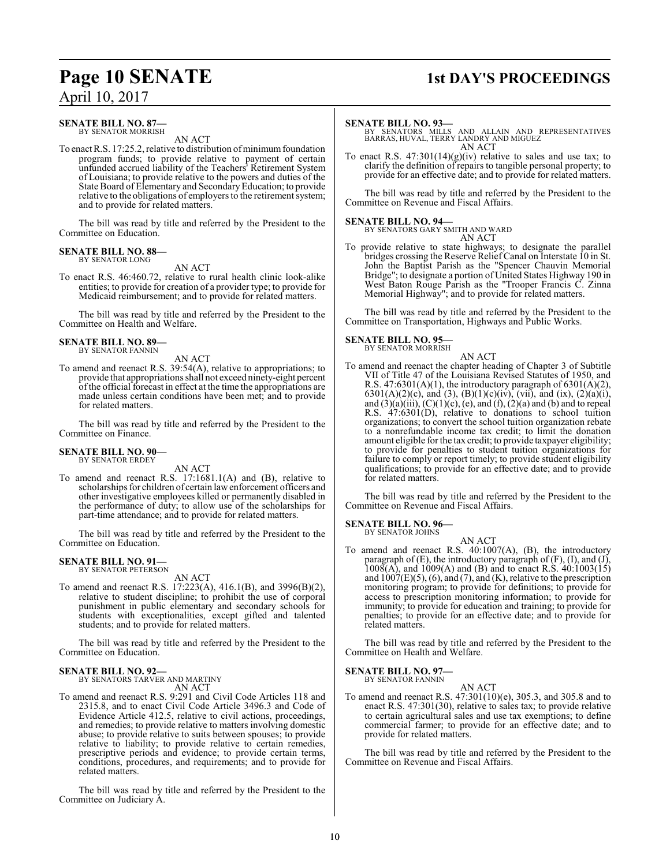### **Page 10 SENATE** 1st DAY'S PROCEEDINGS

### **SENATE BILL NO. 87—**

BY SENATOR MORRISH AN ACT

To enact R.S. 17:25.2, relative to distribution of minimum foundation program funds; to provide relative to payment of certain unfunded accrued liability of the Teachers' Retirement System of Louisiana; to provide relative to the powers and duties of the State Board of Elementary and SecondaryEducation; to provide relative to the obligations of employers to the retirement system; and to provide for related matters.

The bill was read by title and referred by the President to the Committee on Education.

### **SENATE BILL NO. 88—** BY SENATOR LONG

AN ACT

To enact R.S. 46:460.72, relative to rural health clinic look-alike entities; to provide for creation of a provider type; to provide for Medicaid reimbursement; and to provide for related matters.

The bill was read by title and referred by the President to the Committee on Health and Welfare.

### **SENATE BILL NO. 89—** BY SENATOR FANNIN

AN ACT

To amend and reenact R.S. 39:54(A), relative to appropriations; to provide that appropriations shall not exceed ninety-eight percent of the official forecast in effect at the time the appropriations are made unless certain conditions have been met; and to provide for related matters.

The bill was read by title and referred by the President to the Committee on Finance.

#### **SENATE BILL NO. 90—** BY SENATOR ERDEY

AN ACT

To amend and reenact R.S. 17:1681.1(A) and (B), relative to scholarships for children of certain lawenforcement officers and other investigative employees killed or permanently disabled in the performance of duty; to allow use of the scholarships for part-time attendance; and to provide for related matters.

The bill was read by title and referred by the President to the Committee on Education.

### **SENATE BILL NO. 91—** BY SENATOR PETERSON

AN ACT

To amend and reenact R.S. 17:223(A), 416.1(B), and 3996(B)(2), relative to student discipline; to prohibit the use of corporal punishment in public elementary and secondary schools for students with exceptionalities, except gifted and talented students; and to provide for related matters.

The bill was read by title and referred by the President to the Committee on Education.

### **SENATE BILL NO. 92—**

BY SENATORS TARVER AND MARTINY AN ACT

To amend and reenact R.S. 9:291 and Civil Code Articles 118 and 2315.8, and to enact Civil Code Article 3496.3 and Code of Evidence Article 412.5, relative to civil actions, proceedings, and remedies; to provide relative to matters involving domestic abuse; to provide relative to suits between spouses; to provide relative to liability; to provide relative to certain remedies, prescriptive periods and evidence; to provide certain terms, conditions, procedures, and requirements; and to provide for related matters.

The bill was read by title and referred by the President to the Committee on Judiciary A.

### **SENATE BILL NO. 93—**

BY SENATORS MILLS AND ALLAIN AND REPRESENTATIVES BARRAS, HUVAL, TERRY LANDRY AND MIGUEZ AN ACT

To enact R.S.  $47:301(14)(g)(iv)$  relative to sales and use tax; to clarify the definition of repairs to tangible personal property; to provide for an effective date; and to provide for related matters.

The bill was read by title and referred by the President to the Committee on Revenue and Fiscal Affairs.

### **SENATE BILL NO. 94—**

BY SENATORS GARY SMITH AND WARD AN ACT

To provide relative to state highways; to designate the parallel bridges crossing the Reserve Relief Canal on Interstate 10 in St. John the Baptist Parish as the "Spencer Chauvin Memorial Bridge"; to designate a portion of United States Highway 190 in West Baton Rouge Parish as the "Trooper Francis C. Zinna Memorial Highway"; and to provide for related matters.

The bill was read by title and referred by the President to the Committee on Transportation, Highways and Public Works.

### **SENATE BILL NO. 95—**

BY SENATOR MORRISH

AN ACT To amend and reenact the chapter heading of Chapter 3 of Subtitle VII of Title 47 of the Louisiana Revised Statutes of 1950, and R.S. 47:6301(A)(1), the introductory paragraph of 6301(A)(2), 6301(A)(2)(c), and (3), (B)(1)(c)(iv), (vii), and (ix), (2)(a)(i), and  $(3)(a)(iii)$ ,  $(C)(1)(c)$ ,  $(e)$ , and  $(f)$ ,  $(2)(a)$  and  $(b)$  and to repeal R.S. 47:6301(D), relative to donations to school tuition organizations; to convert the school tuition organization rebate to a nonrefundable income tax credit; to limit the donation amount eligible for the tax credit; to provide taxpayer eligibility; to provide for penalties to student tuition organizations for failure to comply or report timely; to provide student eligibility qualifications; to provide for an effective date; and to provide for related matters.

The bill was read by title and referred by the President to the Committee on Revenue and Fiscal Affairs.

**SENATE BILL NO. 96—** BY SENATOR JOHNS

AN ACT

To amend and reenact R.S. 40:1007(A), (B), the introductory paragraph of (E), the introductory paragraph of (F), (I), and (J),  $1008(A)$ , and  $1009(A)$  and (B) and to enact R.S.  $40:1003(15)$ and  $1007(E)(5)$ , (6), and (7), and (K), relative to the prescription monitoring program; to provide for definitions; to provide for access to prescription monitoring information; to provide for immunity; to provide for education and training; to provide for penalties; to provide for an effective date; and to provide for related matters.

The bill was read by title and referred by the President to the Committee on Health and Welfare.

**SENATE BILL NO. 97—**

BY SENATOR FANNIN AN ACT

To amend and reenact R.S. 47:301(10)(e), 305.3, and 305.8 and to enact R.S. 47:301(30), relative to sales tax; to provide relative to certain agricultural sales and use tax exemptions; to define commercial farmer; to provide for an effective date; and to provide for related matters.

The bill was read by title and referred by the President to the Committee on Revenue and Fiscal Affairs.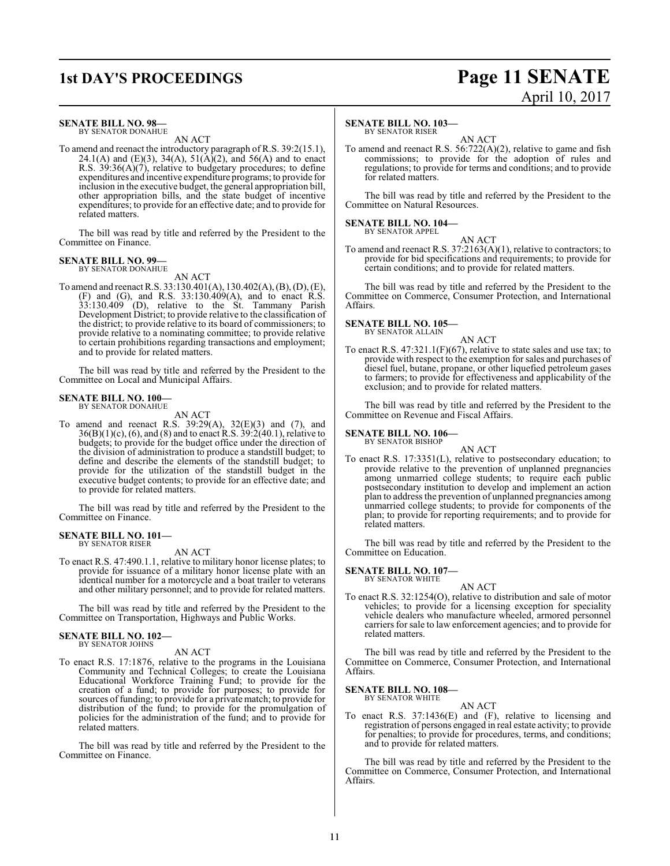### **1st DAY'S PROCEEDINGS Page 11 SENATE**

### **SENATE BILL NO. 98—**

BY SENATOR DONAHUE AN ACT

To amend and reenact the introductory paragraph of R.S. 39:2(15.1), 24.1(A) and (E)(3), 34(A), 51(A)(2), and 56(A) and to enact R.S. 39:36(A)(7), relative to budgetary procedures; to define expenditures and incentive expenditure programs; to provide for inclusion in the executive budget, the general appropriation bill, other appropriation bills, and the state budget of incentive expenditures; to provide for an effective date; and to provide for related matters.

The bill was read by title and referred by the President to the Committee on Finance.

### **SENATE BILL NO. 99—** BY SENATOR DONAHUE

AN ACT

To amend and reenact R.S. 33:130.401(A), 130.402(A), (B), (D), (E), (F) and (G), and R.S. 33:130.409(A), and to enact R.S. 33:130.409 (D), relative to the St. Tammany Parish Development District; to provide relative to the classification of the district; to provide relative to its board of commissioners; to provide relative to a nominating committee; to provide relative to certain prohibitions regarding transactions and employment; and to provide for related matters.

The bill was read by title and referred by the President to the Committee on Local and Municipal Affairs.

### **SENATE BILL NO. 100—** BY SENATOR DONAHUE

AN ACT

To amend and reenact R.S. 39:29(A), 32(E)(3) and (7), and  $36(B)(1)(c)$ ,  $(6)$ , and  $(8)$  and to enact R.S.  $39:2(40.1)$ , relative to budgets; to provide for the budget office under the direction of the division of administration to produce a standstill budget; to define and describe the elements of the standstill budget; to provide for the utilization of the standstill budget in the executive budget contents; to provide for an effective date; and to provide for related matters.

The bill was read by title and referred by the President to the Committee on Finance.

### **SENATE BILL NO. 101—** BY SENATOR RISER

AN ACT

To enact R.S. 47:490.1.1, relative to military honor license plates; to provide for issuance of a military honor license plate with an identical number for a motorcycle and a boat trailer to veterans and other military personnel; and to provide for related matters.

The bill was read by title and referred by the President to the Committee on Transportation, Highways and Public Works.

# **SENATE BILL NO. 102—** BY SENATOR JOHNS

### AN ACT

To enact R.S. 17:1876, relative to the programs in the Louisiana Community and Technical Colleges; to create the Louisiana Educational Workforce Training Fund; to provide for the creation of a fund; to provide for purposes; to provide for sources of funding; to provide for a private match; to provide for distribution of the fund; to provide for the promulgation of policies for the administration of the fund; and to provide for related matters.

The bill was read by title and referred by the President to the Committee on Finance.

### **SENATE BILL NO. 103—**

BY SENATOR RISER

AN ACT To amend and reenact R.S. 56:722(A)(2), relative to game and fish commissions; to provide for the adoption of rules and regulations; to provide for terms and conditions; and to provide for related matters.

The bill was read by title and referred by the President to the Committee on Natural Resources.

#### **SENATE BILL NO. 104—** BY SENATOR APPEL

AN ACT To amend and reenact R.S. 37:2163(A)(1), relative to contractors; to provide for bid specifications and requirements; to provide for certain conditions; and to provide for related matters.

The bill was read by title and referred by the President to the Committee on Commerce, Consumer Protection, and International Affairs.

### **SENATE BILL NO. 105—** BY SENATOR ALLAIN

AN ACT

To enact R.S. 47:321.1(F)(67), relative to state sales and use tax; to provide with respect to the exemption for sales and purchases of diesel fuel, butane, propane, or other liquefied petroleum gases to farmers; to provide for effectiveness and applicability of the exclusion; and to provide for related matters.

The bill was read by title and referred by the President to the Committee on Revenue and Fiscal Affairs.

### **SENATE BILL NO. 106—**

BY SENATOR BISHOP

AN ACT To enact R.S. 17:3351(L), relative to postsecondary education; to provide relative to the prevention of unplanned pregnancies among unmarried college students; to require each public postsecondary institution to develop and implement an action plan to address the prevention of unplanned pregnancies among unmarried college students; to provide for components of the plan; to provide for reporting requirements; and to provide for related matters.

The bill was read by title and referred by the President to the Committee on Education.

#### **SENATE BILL NO. 107—** BY SENATOR WHITE

To enact R.S. 32:1254(O), relative to distribution and sale of motor vehicles; to provide for a licensing exception for speciality vehicle dealers who manufacture wheeled, armored personnel carriers for sale to law enforcement agencies; and to provide for related matters.

The bill was read by title and referred by the President to the Committee on Commerce, Consumer Protection, and International Affairs.

**SENATE BILL NO. 108—** BY SENATOR WHITE

AN ACT

To enact R.S. 37:1436(E) and (F), relative to licensing and registration of persons engaged in real estate activity; to provide for penalties; to provide for procedures, terms, and conditions; and to provide for related matters.

The bill was read by title and referred by the President to the Committee on Commerce, Consumer Protection, and International Affairs.

AN ACT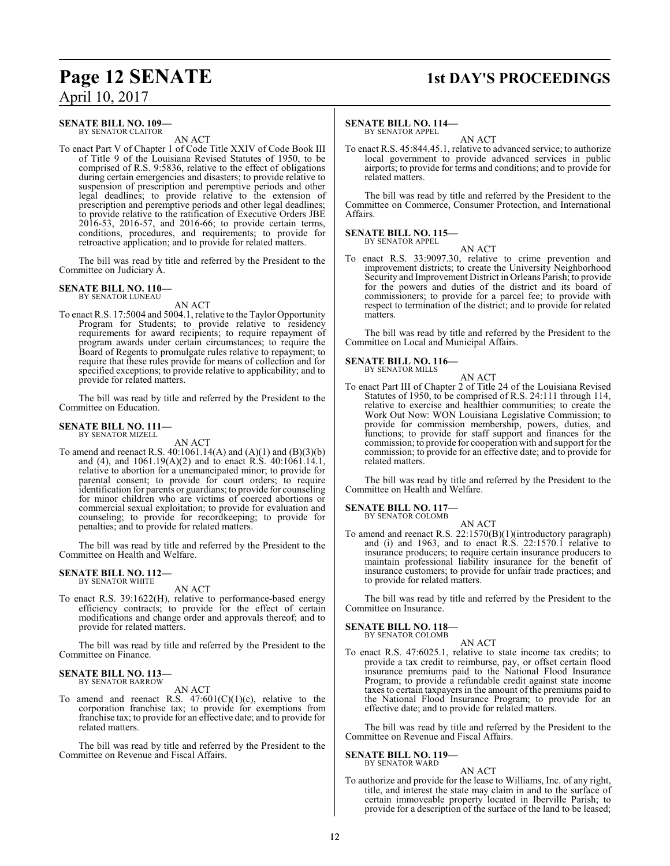### **Page 12 SENATE 1st DAY'S PROCEEDINGS**

### **SENATE BILL NO. 109—** BY SENATOR CLAITOR

AN ACT

To enact Part V of Chapter 1 of Code Title XXIV of Code Book III of Title 9 of the Louisiana Revised Statutes of 1950, to be comprised of R.S. 9:5836, relative to the effect of obligations during certain emergencies and disasters; to provide relative to suspension of prescription and peremptive periods and other legal deadlines; to provide relative to the extension of prescription and peremptive periods and other legal deadlines; to provide relative to the ratification of Executive Orders JBE 2016-53, 2016-57, and 2016-66; to provide certain terms, conditions, procedures, and requirements; to provide for retroactive application; and to provide for related matters.

The bill was read by title and referred by the President to the Committee on Judiciary A.

#### **SENATE BILL NO. 110—** BY SENATOR LUNEAU

AN ACT

To enact R.S. 17:5004 and 5004.1, relative to the Taylor Opportunity Program for Students; to provide relative to residency requirements for award recipients; to require repayment of program awards under certain circumstances; to require the Board of Regents to promulgate rules relative to repayment; to require that these rules provide for means of collection and for specified exceptions; to provide relative to applicability; and to provide for related matters.

The bill was read by title and referred by the President to the Committee on Education.

### **SENATE BILL NO. 111—** BY SENATOR MIZELL

AN ACT

To amend and reenact R.S. 40:1061.14(A) and (A)(1) and (B)(3)(b) and (4), and  $1061.19(A)(2)$  and to enact R.S. 40:1061.14.1, relative to abortion for a unemancipated minor; to provide for parental consent; to provide for court orders; to require identification for parents or guardians; to provide for counseling for minor children who are victims of coerced abortions or commercial sexual exploitation; to provide for evaluation and counseling; to provide for recordkeeping; to provide for penalties; and to provide for related matters.

The bill was read by title and referred by the President to the Committee on Health and Welfare.

#### **SENATE BILL NO. 112—** BY SENATOR WHITE

AN ACT

To enact R.S. 39:1622(H), relative to performance-based energy efficiency contracts; to provide for the effect of certain modifications and change order and approvals thereof; and to provide for related matters.

The bill was read by title and referred by the President to the Committee on Finance.

### **SENATE BILL NO. 113—** BY SENATOR BARROW

AN ACT

To amend and reenact R.S.  $47:601(C)(1)(c)$ , relative to the corporation franchise tax; to provide for exemptions from franchise tax; to provide for an effective date; and to provide for related matters.

The bill was read by title and referred by the President to the Committee on Revenue and Fiscal Affairs.

### **SENATE BILL NO. 114—**

BY SENATOR APPEL AN ACT

To enact R.S. 45:844.45.1, relative to advanced service; to authorize local government to provide advanced services in public airports; to provide for terms and conditions; and to provide for related matters.

The bill was read by title and referred by the President to the Committee on Commerce, Consumer Protection, and International Affairs.

#### **SENATE BILL NO. 115—** BY SENATOR APPEL

AN ACT

To enact R.S. 33:9097.30, relative to crime prevention and improvement districts; to create the University Neighborhood Security and Improvement District in Orleans Parish; to provide for the powers and duties of the district and its board of commissioners; to provide for a parcel fee; to provide with respect to termination of the district; and to provide for related matters.

The bill was read by title and referred by the President to the Committee on Local and Municipal Affairs.

### **SENATE BILL NO. 116—** BY SENATOR MILLS

AN ACT

To enact Part III of Chapter 2 of Title 24 of the Louisiana Revised Statutes of 1950, to be comprised of R.S. 24:111 through 114, relative to exercise and healthier communities; to create the Work Out Now: WON Louisiana Legislative Commission; to provide for commission membership, powers, duties, and functions; to provide for staff support and finances for the commission; to provide for cooperation with and support for the commission; to provide for an effective date; and to provide for related matters.

The bill was read by title and referred by the President to the Committee on Health and Welfare.

**SENATE BILL NO. 117-**

BY SENATOR COLOMB

AN ACT To amend and reenact R.S. 22:1570(B)(1)(introductory paragraph) and (i) and 1963, and to enact  $R.S. 22:1570.1$  relative to insurance producers; to require certain insurance producers to maintain professional liability insurance for the benefit of insurance customers; to provide for unfair trade practices; and to provide for related matters.

The bill was read by title and referred by the President to the Committee on Insurance.

### **SENATE BILL NO. 118—** BY SENATOR COLOMB

AN ACT

To enact R.S. 47:6025.1, relative to state income tax credits; to provide a tax credit to reimburse, pay, or offset certain flood insurance premiums paid to the National Flood Insurance Program; to provide a refundable credit against state income taxes to certain taxpayers in the amount of the premiums paid to the National Flood Insurance Program; to provide for an effective date; and to provide for related matters.

The bill was read by title and referred by the President to the Committee on Revenue and Fiscal Affairs.

### **SENATE BILL NO. 119—**

BY SENATOR WARD

AN ACT To authorize and provide for the lease to Williams, Inc. of any right, title, and interest the state may claim in and to the surface of certain immoveable property located in Iberville Parish; to provide for a description of the surface of the land to be leased;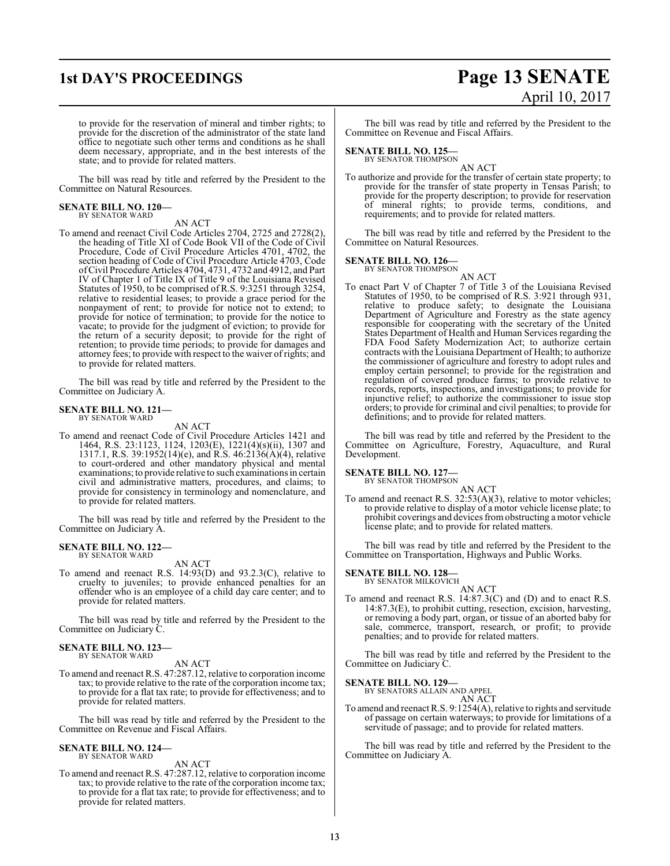# **1st DAY'S PROCEEDINGS Page 13 SENATE** April 10, 2017

to provide for the reservation of mineral and timber rights; to provide for the discretion of the administrator of the state land office to negotiate such other terms and conditions as he shall deem necessary, appropriate, and in the best interests of the state; and to provide for related matters.

The bill was read by title and referred by the President to the Committee on Natural Resources.

### **SENATE BILL NO. 120—** BY SENATOR WARD

AN ACT

To amend and reenact Civil Code Articles 2704, 2725 and 2728(2), the heading of Title XI of Code Book VII of the Code of Civil Procedure, Code of Civil Procedure Articles 4701, 4702, the section heading of Code of Civil Procedure Article 4703, Code ofCivil Procedure Articles 4704, 4731, 4732 and 4912, and Part IV of Chapter 1 of Title IX of Title 9 of the Louisiana Revised Statutes of 1950, to be comprised of R.S. 9:3251 through 3254, relative to residential leases; to provide a grace period for the nonpayment of rent; to provide for notice not to extend; to provide for notice of termination; to provide for the notice to vacate; to provide for the judgment of eviction; to provide for the return of a security deposit; to provide for the right of retention; to provide time periods; to provide for damages and attorney fees; to provide with respect to the waiver of rights; and to provide for related matters.

The bill was read by title and referred by the President to the Committee on Judiciary A.

#### **SENATE BILL NO. 121—** BY SENATOR WARD

AN ACT

To amend and reenact Code of Civil Procedure Articles 1421 and 1464, R.S. 23:1123, 1124, 1203(E), 1221(4)(s)(ii), 1307 and 1317.1, R.S. 39:1952(14)(e), and R.S. 46:2136(A)(4), relative to court-ordered and other mandatory physical and mental examinations; to provide relative to such examinations in certain civil and administrative matters, procedures, and claims; to provide for consistency in terminology and nomenclature, and to provide for related matters.

The bill was read by title and referred by the President to the Committee on Judiciary A.

#### **SENATE BILL NO. 122—** BY SENATOR WARD

AN ACT

To amend and reenact R.S. 14:93(D) and 93.2.3(C), relative to cruelty to juveniles; to provide enhanced penalties for an offender who is an employee of a child day care center; and to provide for related matters.

The bill was read by title and referred by the President to the Committee on Judiciary C.

### **SENATE BILL NO. 123—** BY SENATOR WARD

AN ACT

To amend and reenact R.S. 47:287.12, relative to corporation income tax; to provide relative to the rate of the corporation income tax; to provide for a flat tax rate; to provide for effectiveness; and to provide for related matters.

The bill was read by title and referred by the President to the Committee on Revenue and Fiscal Affairs.

### **SENATE BILL NO. 124—** BY SENATOR WARD

### AN ACT

To amend and reenact R.S. 47:287.12, relative to corporation income tax; to provide relative to the rate ofthe corporation income tax; to provide for a flat tax rate; to provide for effectiveness; and to provide for related matters.

The bill was read by title and referred by the President to the Committee on Revenue and Fiscal Affairs.

### **SENATE BILL NO. 125—**

BY SENATOR THOMPSON AN ACT

To authorize and provide for the transfer of certain state property; to provide for the transfer of state property in Tensas Parish; to provide for the property description; to provide for reservation of mineral rights; to provide terms, conditions, and requirements; and to provide for related matters.

The bill was read by title and referred by the President to the Committee on Natural Resources.

### **SENATE BILL NO. 126—**<br>BY SENATOR THOMPSON

AN ACT To enact Part V of Chapter 7 of Title 3 of the Louisiana Revised Statutes of 1950, to be comprised of R.S. 3:921 through 931, relative to produce safety; to designate the Louisiana Department of Agriculture and Forestry as the state agency responsible for cooperating with the secretary of the United States Department of Health and Human Services regarding the FDA Food Safety Modernization Act; to authorize certain contracts with the Louisiana Department of Health; to authorize the commissioner of agriculture and forestry to adopt rules and employ certain personnel; to provide for the registration and regulation of covered produce farms; to provide relative to records, reports, inspections, and investigations; to provide for injunctive relief; to authorize the commissioner to issue stop orders; to provide for criminal and civil penalties; to provide for definitions; and to provide for related matters.

The bill was read by title and referred by the President to the Committee on Agriculture, Forestry, Aquaculture, and Rural Development.

### **SENATE BILL NO. 127—**

BY SENATOR THOMPSON

AN ACT To amend and reenact R.S. 32:53(A)(3), relative to motor vehicles; to provide relative to display of a motor vehicle license plate; to prohibit coverings and devices fromobstructing a motor vehicle license plate; and to provide for related matters.

The bill was read by title and referred by the President to the Committee on Transportation, Highways and Public Works.

### **SENATE BILL NO. 128—** BY SENATOR MILKOVICH

AN ACT To amend and reenact R.S. 14:87.3(C) and (D) and to enact R.S. 14:87.3(E), to prohibit cutting, resection, excision, harvesting, or removing a body part, organ, or tissue of an aborted baby for sale, commerce, transport, research, or profit; to provide penalties; and to provide for related matters.

The bill was read by title and referred by the President to the Committee on Judiciary C.

### **SENATE BILL NO. 129—**

BY SENATORS ALLAIN AND APPEL AN ACT

To amend and reenact R.S. 9:1254(A), relative to rights and servitude of passage on certain waterways; to provide for limitations of a servitude of passage; and to provide for related matters.

The bill was read by title and referred by the President to the Committee on Judiciary A.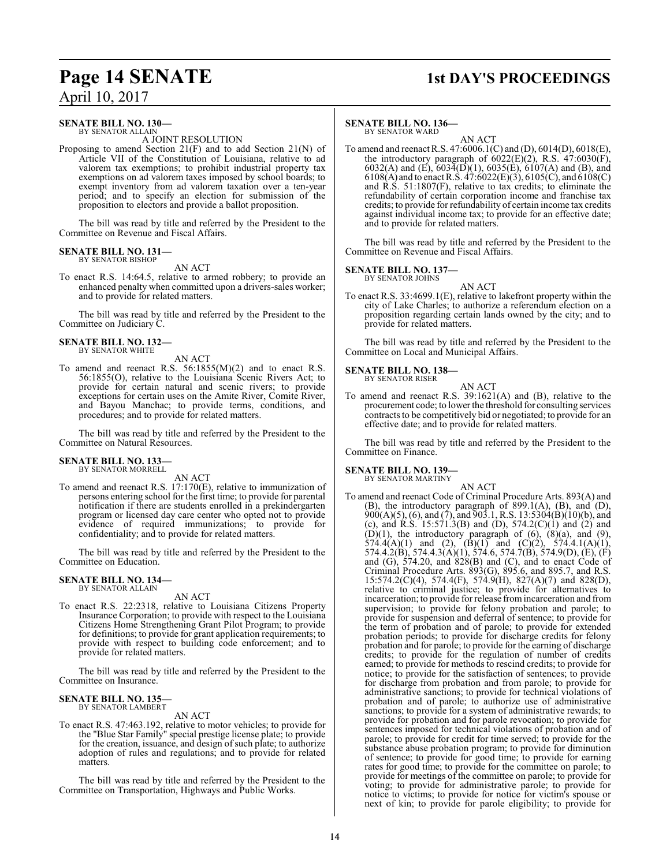## **Page 14 SENATE** 1st DAY'S PROCEEDINGS

April 10, 2017

### **SENATE BILL NO. 130—** BY SENATOR ALLAIN

A JOINT RESOLUTION

Proposing to amend Section 21(F) and to add Section 21(N) of Article VII of the Constitution of Louisiana, relative to ad valorem tax exemptions; to prohibit industrial property tax exemptions on ad valorem taxes imposed by school boards; to exempt inventory from ad valorem taxation over a ten-year period; and to specify an election for submission of the proposition to electors and provide a ballot proposition.

The bill was read by title and referred by the President to the Committee on Revenue and Fiscal Affairs.

### **SENATE BILL NO. 131—** BY SENATOR BISHOP

AN ACT

To enact R.S. 14:64.5, relative to armed robbery; to provide an enhanced penalty when committed upon a drivers-sales worker; and to provide for related matters.

The bill was read by title and referred by the President to the Committee on Judiciary C.

### **SENATE BILL NO. 132—** BY SENATOR WHITE

- AN ACT
- To amend and reenact R.S. 56:1855(M)(2) and to enact R.S. 56:1855(O), relative to the Louisiana Scenic Rivers Act; to provide for certain natural and scenic rivers; to provide exceptions for certain uses on the Amite River, Comite River, and Bayou Manchac; to provide terms, conditions, and procedures; and to provide for related matters.

The bill was read by title and referred by the President to the Committee on Natural Resources.

### **SENATE BILL NO. 133—** BY SENATOR MORRELL

AN ACT

To amend and reenact R.S. 17:170(E), relative to immunization of persons entering school for the first time; to provide for parental notification if there are students enrolled in a prekindergarten program or licensed day care center who opted not to provide evidence of required immunizations; to provide for confidentiality; and to provide for related matters.

The bill was read by title and referred by the President to the Committee on Education.

### **SENATE BILL NO. 134—** BY SENATOR ALLAIN

AN ACT

To enact R.S. 22:2318, relative to Louisiana Citizens Property Insurance Corporation; to provide with respect to the Louisiana Citizens Home Strengthening Grant Pilot Program; to provide for definitions; to provide for grant application requirements; to provide with respect to building code enforcement; and to provide for related matters.

The bill was read by title and referred by the President to the Committee on Insurance.

### **SENATE BILL NO. 135—** BY SENATOR LAMBERT

AN ACT

To enact R.S. 47:463.192, relative to motor vehicles; to provide for the "Blue Star Family" special prestige license plate; to provide for the creation, issuance, and design of such plate; to authorize adoption of rules and regulations; and to provide for related matters.

The bill was read by title and referred by the President to the Committee on Transportation, Highways and Public Works.

### **SENATE BILL NO. 136—**

BY SENATOR WARD AN ACT

To amend and reenact R.S. 47:6006.1(C) and (D), 6014(D), 6018(E), the introductory paragraph of  $6022(E)(2)$ , R.S.  $47:6030(F)$ , 6032(A) and (E),  $603\overline{4}$ (D)(1), 6035(E), 6107(A) and (B), and 6108(A) and to enact R.S.  $47:6022(E)(3)$ , 6105(C), and 6108(C) and R.S. 51:1807(F), relative to tax credits; to eliminate the refundability of certain corporation income and franchise tax credits; to provide for refundability of certain income tax credits against individual income tax; to provide for an effective date; and to provide for related matters.

The bill was read by title and referred by the President to the Committee on Revenue and Fiscal Affairs.

### **SENATE BILL NO. 137—**

BY SENATOR JOHNS AN ACT

To enact R.S. 33:4699.1(E), relative to lakefront property within the city of Lake Charles; to authorize a referendum election on a proposition regarding certain lands owned by the city; and to provide for related matters.

The bill was read by title and referred by the President to the Committee on Local and Municipal Affairs.

### **SENATE BILL NO. 138—** BY SENATOR RISER

AN ACT To amend and reenact R.S. 39:1621(A) and (B), relative to the procurement code; to lower the threshold for consulting services contracts to be competitively bid or negotiated; to provide for an effective date; and to provide for related matters.

The bill was read by title and referred by the President to the Committee on Finance.

### **SENATE BILL NO. 139—**

BY SENATOR MARTINY AN ACT

To amend and reenact Code of Criminal Procedure Arts. 893(A) and (B), the introductory paragraph of 899.1(A), (B), and (D),  $900(A)(5)$ , (6), and (7), and  $903.1$ , R.S. 13:5304(B)(10)(b), and (c), and R.S. 15:571.3(B) and (D),  $574.2(C)(1)$  and (2) and  $(D)(1)$ , the introductory paragraph of  $(6)$ ,  $(8)(a)$ , and  $(9)$ , 574.4(A)(1) and (2),  $(\overrightarrow{B})(1)$  and  $(\overrightarrow{C})(2)$ , 574.4.1(A)(1), 574.4.2(B), 574.4.3(A)(1), 574.6, 574.7(B), 574.9(D), (E), (F) and  $(G)$ , 574.20, and  $828(B)$  and  $(C)$ , and to enact Code of Criminal Procedure Arts.  $893(G)$ ,  $895.6$ , and  $895.7$ , and R.S. 15:574.2(C)(4), 574.4(F), 574.9(H), 827(A)(7) and 828(D), relative to criminal justice; to provide for alternatives to incarceration; to provide for release fromincarceration and from supervision; to provide for felony probation and parole; to provide for suspension and deferral of sentence; to provide for the term of probation and of parole; to provide for extended probation periods; to provide for discharge credits for felony probation and for parole; to provide for the earning of discharge credits; to provide for the regulation of number of credits earned; to provide for methods to rescind credits; to provide for notice; to provide for the satisfaction of sentences; to provide for discharge from probation and from parole; to provide for administrative sanctions; to provide for technical violations of probation and of parole; to authorize use of administrative sanctions; to provide for a system of administrative rewards; to provide for probation and for parole revocation; to provide for sentences imposed for technical violations of probation and of parole; to provide for credit for time served; to provide for the substance abuse probation program; to provide for diminution of sentence; to provide for good time; to provide for earning rates for good time; to provide for the committee on parole; to provide for meetings of the committee on parole; to provide for voting; to provide for administrative parole; to provide for notice to victims; to provide for notice for victim's spouse or next of kin; to provide for parole eligibility; to provide for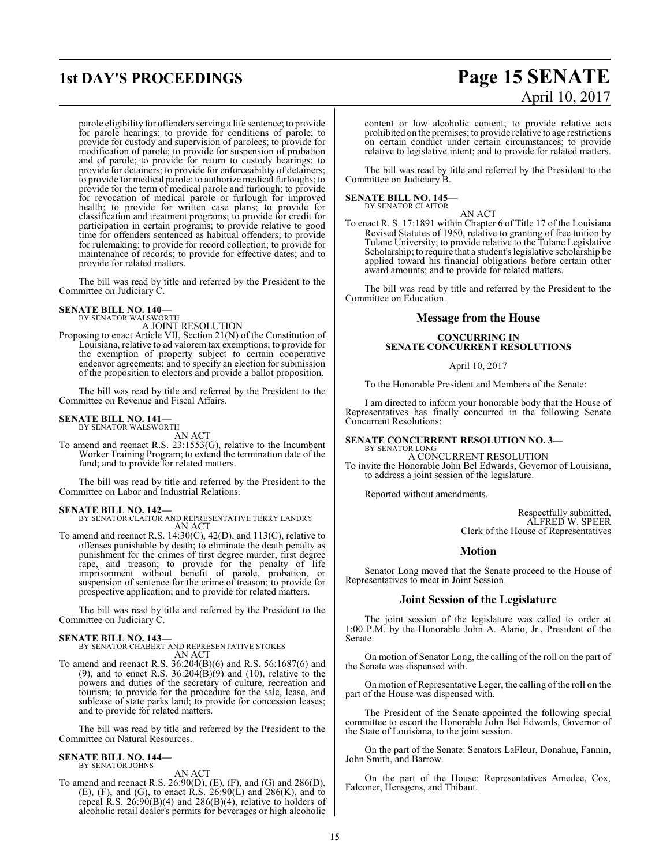### parole eligibility for offenders serving a life sentence; to provide for parole hearings; to provide for conditions of parole; to provide for custody and supervision of parolees; to provide for modification of parole; to provide for suspension of probation and of parole; to provide for return to custody hearings; to provide for detainers; to provide for enforceability of detainers; to provide for medical parole; to authorize medical furloughs; to provide for the term of medical parole and furlough; to provide for revocation of medical parole or furlough for improved health; to provide for written case plans; to provide for classification and treatment programs; to provide for credit for participation in certain programs; to provide relative to good time for offenders sentenced as habitual offenders; to provide for rulemaking; to provide for record collection; to provide for maintenance of records; to provide for effective dates; and to provide for related matters.

The bill was read by title and referred by the President to the Committee on Judiciary C.

### **SENATE BILL NO. 140—** BY SENATOR WALSWORTH

A JOINT RESOLUTION

Proposing to enact Article VII, Section 21(N) of the Constitution of Louisiana, relative to ad valorem tax exemptions; to provide for the exemption of property subject to certain cooperative endeavor agreements; and to specify an election for submission of the proposition to electors and provide a ballot proposition.

The bill was read by title and referred by the President to the Committee on Revenue and Fiscal Affairs.

### **SENATE BILL NO. 141—** BY SENATOR WALSWORTH

AN ACT

To amend and reenact R.S. 23:1553(G), relative to the Incumbent Worker Training Program; to extend the termination date of the fund; and to provide for related matters.

The bill was read by title and referred by the President to the Committee on Labor and Industrial Relations.

### **SENATE BILL NO. 142—**

BY SENATOR CLAITOR AND REPRESENTATIVE TERRY LANDRY AN ACT

To amend and reenact R.S. 14:30(C), 42(D), and 113(C), relative to offenses punishable by death; to eliminate the death penalty as punishment for the crimes of first degree murder, first degree rape, and treason; to provide for the penalty of life imprisonment without benefit of parole, probation, or suspension of sentence for the crime of treason; to provide for prospective application; and to provide for related matters.

The bill was read by title and referred by the President to the Committee on Judiciary C.

### **SENATE BILL NO. 143—**

BY SENATOR CHABERT AND REPRESENTATIVE STOKES AN ACT

To amend and reenact R.S. 36:204(B)(6) and R.S. 56:1687(6) and (9), and to enact R.S.  $36:204(B)(9)$  and (10), relative to the powers and duties of the secretary of culture, recreation and tourism; to provide for the procedure for the sale, lease, and sublease of state parks land; to provide for concession leases; and to provide for related matters.

The bill was read by title and referred by the President to the Committee on Natural Resources.

### **SENATE BILL NO. 144—** BY SENATOR JOHNS

AN ACT

To amend and reenact R.S. 26:90(D), (E), (F), and (G) and 286(D), (E), (F), and (G), to enact R.S.  $26:90(L)$  and  $286(K)$ , and to repeal R.S. 26:90(B)(4) and 286(B)(4), relative to holders of alcoholic retail dealer's permits for beverages or high alcoholic

## **1st DAY'S PROCEEDINGS Page 15 SENATE** April 10, 2017

content or low alcoholic content; to provide relative acts prohibited on the premises; to provide relative to age restrictions on certain conduct under certain circumstances; to provide relative to legislative intent; and to provide for related matters.

The bill was read by title and referred by the President to the Committee on Judiciary B.

# **SENATE BILL NO. 145—** BY SENATOR CLAITOR

To enact R. S. 17:1891 within Chapter 6 of Title 17 of the Louisiana Revised Statutes of 1950, relative to granting of free tuition by Tulane University; to provide relative to the Tulane Legislative Scholarship; to require that a student's legislative scholarship be applied toward his financial obligations before certain other award amounts; and to provide for related matters.

AN ACT

The bill was read by title and referred by the President to the Committee on Education.

### **Message from the House**

### **CONCURRING IN SENATE CONCURRENT RESOLUTIONS**

April 10, 2017

To the Honorable President and Members of the Senate:

I am directed to inform your honorable body that the House of Representatives has finally concurred in the following Senate Concurrent Resolutions:

#### **SENATE CONCURRENT RESOLUTION NO. 3—** BY SENATOR LONG

A CONCURRENT RESOLUTION To invite the Honorable John Bel Edwards, Governor of Louisiana, to address a joint session of the legislature.

Reported without amendments.

Respectfully submitted, ALFRED W. SPEER Clerk of the House of Representatives

### **Motion**

Senator Long moved that the Senate proceed to the House of Representatives to meet in Joint Session.

### **Joint Session of the Legislature**

The joint session of the legislature was called to order at 1:00 P.M. by the Honorable John A. Alario, Jr., President of the Senate.

On motion of Senator Long, the calling of the roll on the part of the Senate was dispensed with.

On motion of Representative Leger, the calling of the roll on the part of the House was dispensed with.

The President of the Senate appointed the following special committee to escort the Honorable John Bel Edwards, Governor of the State of Louisiana, to the joint session.

On the part of the Senate: Senators LaFleur, Donahue, Fannin, John Smith, and Barrow.

On the part of the House: Representatives Amedee, Cox, Falconer, Hensgens, and Thibaut.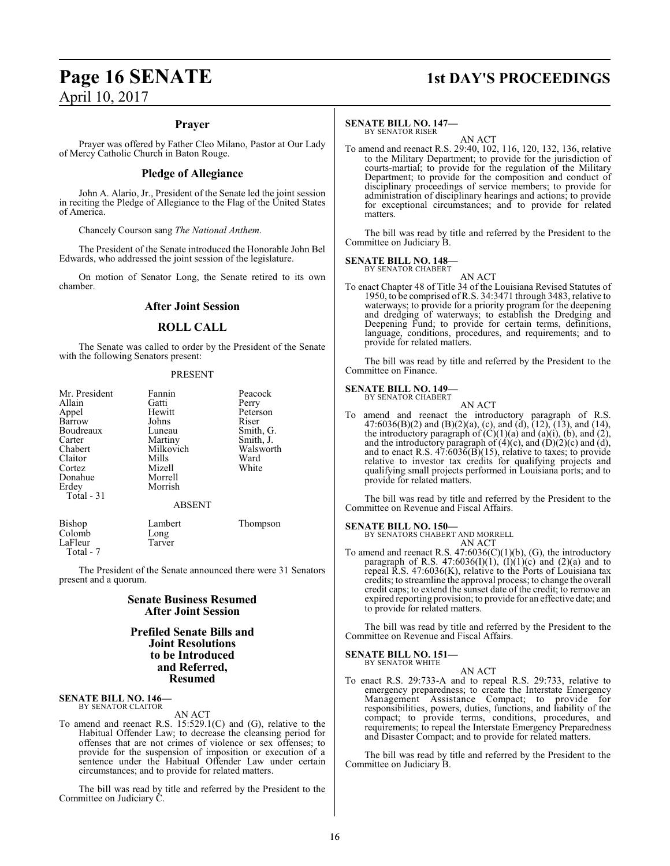## **Page 16 SENATE 1st DAY'S PROCEEDINGS**

### **Prayer**

Prayer was offered by Father Cleo Milano, Pastor at Our Lady of Mercy Catholic Church in Baton Rouge.

### **Pledge of Allegiance**

John A. Alario, Jr., President of the Senate led the joint session in reciting the Pledge of Allegiance to the Flag of the United States of America.

Chancely Courson sang *The National Anthem*.

The President of the Senate introduced the Honorable John Bel Edwards, who addressed the joint session of the legislature.

On motion of Senator Long, the Senate retired to its own chamber.

### **After Joint Session**

### **ROLL CALL**

The Senate was called to order by the President of the Senate with the following Senators present:

### PRESENT

| Mr. President<br>Allain<br>Appel<br>Barrow<br>Boudreaux<br>Carter<br>Chabert<br>Claitor<br>Cortez<br>Donahue<br>Erdey<br>Total $-31$ | Fannin<br>Gatti<br>Hewitt<br>Johns<br>Luneau<br>Martiny<br>Milkovich<br>Mills<br>Mizell<br>Morrell<br>Morrish<br><b>ABSENT</b> | Peacock<br>Perry<br>Peterson<br>Riser<br>Smith, G.<br>Smith, J.<br>Walsworth<br>Ward<br>White |
|--------------------------------------------------------------------------------------------------------------------------------------|--------------------------------------------------------------------------------------------------------------------------------|-----------------------------------------------------------------------------------------------|
| Bishop<br>Colomb                                                                                                                     | Lambert<br>Long                                                                                                                | Thompson                                                                                      |

The President of the Senate announced there were 31 Senators present and a quorum.

### **Senate Business Resumed After Joint Session**

### **Prefiled Senate Bills and Joint Resolutions to be Introduced and Referred, Resumed**

#### **SENATE BILL NO. 146—** BY SENATOR CLAITOR

LaFleur Tarver

Total - 7

AN ACT

To amend and reenact R.S. 15:529.1(C) and (G), relative to the Habitual Offender Law; to decrease the cleansing period for offenses that are not crimes of violence or sex offenses; to provide for the suspension of imposition or execution of a sentence under the Habitual Offender Law under certain circumstances; and to provide for related matters.

The bill was read by title and referred by the President to the Committee on Judiciary C.

### **SENATE BILL NO. 147—** BY SENATOR RISER

AN ACT

To amend and reenact R.S. 29:40, 102, 116, 120, 132, 136, relative to the Military Department; to provide for the jurisdiction of courts-martial; to provide for the regulation of the Military Department; to provide for the composition and conduct of disciplinary proceedings of service members; to provide for administration of disciplinary hearings and actions; to provide for exceptional circumstances; and to provide for related matters.

The bill was read by title and referred by the President to the Committee on Judiciary B.

### **SENATE BILL NO. 148—** BY SENATOR CHABERT

AN ACT To enact Chapter 48 of Title 34 of the Louisiana Revised Statutes of 1950, to be comprised of R.S. 34:3471 through 3483, relative to waterways; to provide for a priority program for the deepening and dredging of waterways; to establish the Dredging and Deepening Fund; to provide for certain terms, definitions, language, conditions, procedures, and requirements; and to provide for related matters.

The bill was read by title and referred by the President to the Committee on Finance.

### **SENATE BILL NO. 149—**

BY SENATOR CHABERT AN ACT

To amend and reenact the introductory paragraph of R.S. 47:6036(B)(2) and (B)(2)(a), (c), and (d),  $(12)$ ,  $(13)$ , and  $(14)$ , the introductory paragraph of  $(C)(1)(a)$  and  $(a)(i)$ ,  $(b)$ , and  $(2)$ , and the introductory paragraph of  $(4)(c)$ , and  $(D)(2)(c)$  and  $(d)$ , and to enact R.S. 47:6036(B)(15), relative to taxes; to provide relative to investor tax credits for qualifying projects and qualifying small projects performed in Louisiana ports; and to provide for related matters.

The bill was read by title and referred by the President to the Committee on Revenue and Fiscal Affairs.

**SENATE BILL NO. 150—** BY SENATORS CHABERT AND MORRELL AN ACT

To amend and reenact R.S. 47:6036(C)(1)(b), (G), the introductory paragraph of R.S. 47:6036(I)(1),  $(I)(1)(c)$  and (2)(a) and to repeal R.S. 47:6036(K), relative to the Ports of Louisiana tax credits; to streamline the approval process; to change the overall credit caps; to extend the sunset date of the credit; to remove an expired reporting provision; to provide for an effective date; and to provide for related matters.

The bill was read by title and referred by the President to the Committee on Revenue and Fiscal Affairs.

### **SENATE BILL NO. 151—** BY SENATOR WHITE

AN ACT

To enact R.S. 29:733-A and to repeal R.S. 29:733, relative to emergency preparedness; to create the Interstate Emergency Management Assistance Compact; to provide for responsibilities, powers, duties, functions, and liability of the compact; to provide terms, conditions, procedures, and requirements; to repeal the Interstate Emergency Preparedness and Disaster Compact; and to provide for related matters.

The bill was read by title and referred by the President to the Committee on Judiciary B.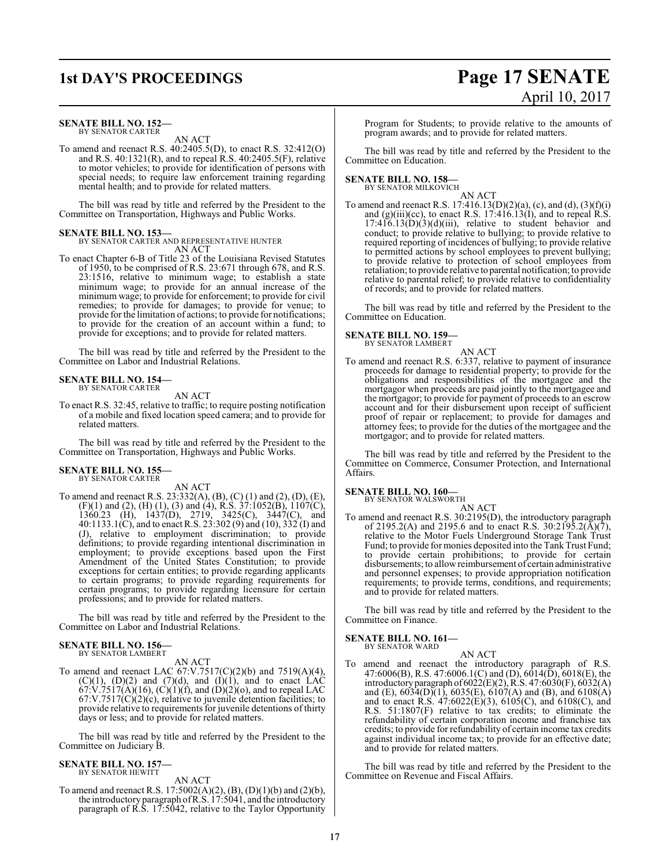### **SENATE BILL NO. 152—** BY SENATOR CARTER

AN ACT

To amend and reenact R.S. 40:2405.5(D), to enact R.S. 32:412(O) and R.S. 40:1321(R), and to repeal R.S. 40:2405.5(F), relative to motor vehicles; to provide for identification of persons with special needs; to require law enforcement training regarding mental health; and to provide for related matters.

The bill was read by title and referred by the President to the Committee on Transportation, Highways and Public Works.

### **SENATE BILL NO. 153—**

BY SENATOR CARTER AND REPRESENTATIVE HUNTER AN ACT

To enact Chapter 6-B of Title 23 of the Louisiana Revised Statutes of 1950, to be comprised of R.S. 23:671 through 678, and R.S. 23:1516, relative to minimum wage; to establish a state minimum wage; to provide for an annual increase of the minimum wage; to provide for enforcement; to provide for civil remedies; to provide for damages; to provide for venue; to provide forthe limitation of actions; to provide for notifications; to provide for the creation of an account within a fund; to provide for exceptions; and to provide for related matters.

The bill was read by title and referred by the President to the Committee on Labor and Industrial Relations.

#### **SENATE BILL NO. 154—** BY SENATOR CARTER

AN ACT

To enact R.S. 32:45, relative to traffic; to require posting notification of a mobile and fixed location speed camera; and to provide for related matters.

The bill was read by title and referred by the President to the Committee on Transportation, Highways and Public Works.

### **SENATE BILL NO. 155—** BY SENATOR CARTER

AN ACT

To amend and reenact R.S. 23:332(A), (B), (C) (1) and (2), (D), (E),  $(F)(1)$  and  $(2)$ ,  $(H)(1)$ ,  $(3)$  and  $(4)$ , R.S.  $37:1052(B)$ ,  $1107(C)$ , 1360.23 (H), 1437(D), 2719, 3425(C), 3447(C), and 40:1133.1(C), and to enact R.S. 23:302 (9) and (10), 332 (I) and (J), relative to employment discrimination; to provide definitions; to provide regarding intentional discrimination in employment; to provide exceptions based upon the First Amendment of the United States Constitution; to provide exceptions for certain entities; to provide regarding applicants to certain programs; to provide regarding requirements for certain programs; to provide regarding licensure for certain professions; and to provide for related matters.

The bill was read by title and referred by the President to the Committee on Labor and Industrial Relations.

#### **SENATE BILL NO. 156—** BY SENATOR LAMBERT

AN ACT

To amend and reenact LAC 67:V.7517(C)(2)(b) and 7519(A)(4),  $(C)(1)$ ,  $(D)(2)$  and  $(7)(d)$ , and  $(I)(1)$ , and to enact LAC  $67:V.7517(A)(16)$ ,  $(C)(1)(f)$ , and  $(D)(2)(o)$ , and to repeal LAC  $67:V.7517(C)(2)(c)$ , relative to juvenile detention facilities; to provide relative to requirements for juvenile detentions of thirty days or less; and to provide for related matters.

The bill was read by title and referred by the President to the Committee on Judiciary B.

#### **SENATE BILL NO. 157—** BY SENATOR HEWITT

AN ACT

To amend and reenact R.S. 17:5002(A)(2), (B), (D)(1)(b) and (2)(b), the introductory paragraph ofR.S. 17:5041, and the introductory paragraph of R.S. 17:5042, relative to the Taylor Opportunity Program for Students; to provide relative to the amounts of program awards; and to provide for related matters.

The bill was read by title and referred by the President to the Committee on Education.

### **SENATE BILL NO. 158—** BY SENATOR MILKOVICH

AN ACT

To amend and reenact R.S.  $17:416.13(D)(2)(a)$ , (c), and (d),  $(3)(f)(i)$ and  $(g)(iii)(cc)$ , to enact R.S. 17:416.13(I), and to repeal R.S.  $17:416.13(D)(3)(d)(iii)$ , relative to student behavior and conduct; to provide relative to bullying; to provide relative to required reporting of incidences of bullying; to provide relative to permitted actions by school employees to prevent bullying; to provide relative to protection of school employees from retaliation; to provide relative to parental notification; to provide relative to parental relief; to provide relative to confidentiality of records; and to provide for related matters.

The bill was read by title and referred by the President to the Committee on Education.

### **SENATE BILL NO. 159—** BY SENATOR LAMBERT

AN ACT To amend and reenact R.S. 6:337, relative to payment of insurance proceeds for damage to residential property; to provide for the obligations and responsibilities of the mortgagee and the mortgagor when proceeds are paid jointly to the mortgagee and the mortgagor; to provide for payment of proceeds to an escrow account and for their disbursement upon receipt of sufficient proof of repair or replacement; to provide for damages and attorney fees; to provide for the duties of the mortgagee and the mortgagor; and to provide for related matters.

The bill was read by title and referred by the President to the Committee on Commerce, Consumer Protection, and International Affairs.

### **SENATE BILL NO. 160—**<br>BY SENATOR WALSWORTH

AN ACT

To amend and reenact R.S. 30:2195(D), the introductory paragraph of 2195.2(A) and 2195.6 and to enact R.S. 30:2195.2( $\bar{A}$ )( $\bar{7}$ ), relative to the Motor Fuels Underground Storage Tank Trust Fund; to provide for monies deposited into the Tank Trust Fund; to provide certain prohibitions; to provide for certain disbursements; to allowreimbursement of certain administrative and personnel expenses; to provide appropriation notification requirements; to provide terms, conditions, and requirements; and to provide for related matters.

The bill was read by title and referred by the President to the Committee on Finance.

### **SENATE BILL NO. 161—** BY SENATOR WARD

AN ACT

To amend and reenact the introductory paragraph of R.S. 47:6006(B), R.S. 47:6006.1(C) and (D), 6014(D), 6018(E), the introductoryparagraph of6022(E)(2), R.S. 47:6030(F), 6032(A) and (E),  $6034(D)(1)$ ,  $6035(E)$ ,  $6107(A)$  and (B), and  $6108(A)$ and to enact R.S. 47:6022(E)(3), 6105(C), and 6108(C), and R.S. 51:1807(F) relative to tax credits; to eliminate the refundability of certain corporation income and franchise tax credits; to provide for refundability of certain income tax credits against individual income tax; to provide for an effective date; and to provide for related matters.

The bill was read by title and referred by the President to the Committee on Revenue and Fiscal Affairs.

## **1st DAY'S PROCEEDINGS Page 17 SENATE** April 10, 2017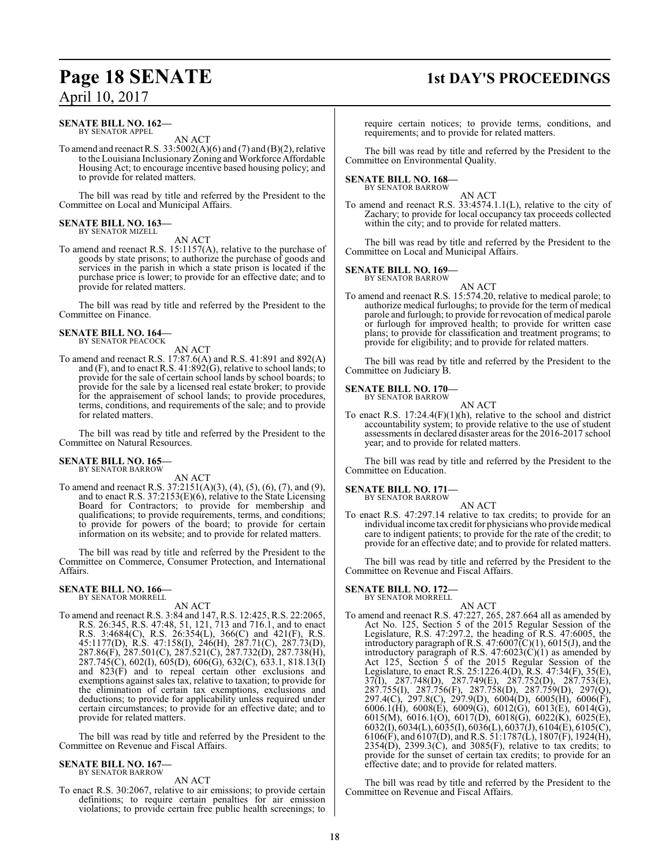### **SENATE BILL NO. 162—** BY SENATOR APPEL

AN ACT

To amend and reenact R.S.  $33:5002(A)(6)$  and  $(7)$  and  $(B)(2)$ , relative to the Louisiana Inclusionary Zoning and Workforce Affordable Housing Act; to encourage incentive based housing policy; and to provide for related matters.

The bill was read by title and referred by the President to the Committee on Local and Municipal Affairs.

#### **SENATE BILL NO. 163—** BY SENATOR MIZELL

AN ACT

To amend and reenact R.S. 15:1157(A), relative to the purchase of goods by state prisons; to authorize the purchase of goods and services in the parish in which a state prison is located if the purchase price is lower; to provide for an effective date; and to provide for related matters.

The bill was read by title and referred by the President to the Committee on Finance.

### **SENATE BILL NO. 164—** BY SENATOR PEACOCK

AN ACT

To amend and reenact R.S. 17:87.6(A) and R.S. 41:891 and 892(A) and (F), and to enact R.S. 41:892(G), relative to school lands; to provide for the sale of certain school lands by school boards; to provide for the sale by a licensed real estate broker; to provide for the appraisement of school lands; to provide procedures, terms, conditions, and requirements of the sale; and to provide for related matters.

The bill was read by title and referred by the President to the Committee on Natural Resources.

### **SENATE BILL NO. 165—** BY SENATOR BARROW

AN ACT

To amend and reenact R.S. 37:2151(A)(3), (4), (5), (6), (7), and (9), and to enact R.S. 37:2153(E)(6), relative to the State Licensing Board for Contractors; to provide for membership and qualifications; to provide requirements, terms, and conditions; to provide for powers of the board; to provide for certain information on its website; and to provide for related matters.

The bill was read by title and referred by the President to the Committee on Commerce, Consumer Protection, and International Affairs.

### **SENATE BILL NO. 166—** BY SENATOR MORRELL

AN ACT

To amend and reenact R.S. 3:84 and 147, R.S. 12:425, R.S. 22:2065, R.S. 26:345, R.S. 47:48, 51, 121, 713 and 716.1, and to enact R.S. 3:4684(C), R.S. 26:354(L), 366(C) and 421(F), R.S. 45:1177(D), R.S. 47:158(I), 246(H), 287.71(C), 287.73(D), 287.86(F), 287.501(C), 287.521(C), 287.732(D), 287.738(H), 287.745(C), 602(I), 605(D), 606(G), 632(C), 633.1, 818.13(I) and 823(F) and to repeal certain other exclusions and exemptions against sales tax, relative to taxation; to provide for the elimination of certain tax exemptions, exclusions and deductions; to provide for applicability unless required under certain circumstances; to provide for an effective date; and to provide for related matters.

The bill was read by title and referred by the President to the Committee on Revenue and Fiscal Affairs.

#### **SENATE BILL NO. 167—** BY SENATOR BARROW

AN ACT

To enact R.S. 30:2067, relative to air emissions; to provide certain definitions; to require certain penalties for air emission violations; to provide certain free public health screenings; to

## **Page 18 SENATE 1st DAY'S PROCEEDINGS**

require certain notices; to provide terms, conditions, and requirements; and to provide for related matters.

The bill was read by title and referred by the President to the Committee on Environmental Quality.

### **SENATE BILL NO. 168—** BY SENATOR BARROW

AN ACT

To amend and reenact R.S. 33:4574.1.1(L), relative to the city of Zachary; to provide for local occupancy tax proceeds collected within the city; and to provide for related matters.

The bill was read by title and referred by the President to the Committee on Local and Municipal Affairs.

### **SENATE BILL NO. 169—**

BY SENATOR BARROW AN ACT

To amend and reenact R.S. 15:574.20, relative to medical parole; to authorize medical furloughs; to provide for the term of medical parole and furlough; to provide for revocation of medical parole or furlough for improved health; to provide for written case plans; to provide for classification and treatment programs; to provide for eligibility; and to provide for related matters.

The bill was read by title and referred by the President to the Committee on Judiciary B.

### **SENATE BILL NO. 170—** BY SENATOR BARROW

AN ACT

To enact R.S.  $17:24.4(F)(1)(h)$ , relative to the school and district accountability system; to provide relative to the use of student assessments in declared disaster areas for the 2016-2017 school year; and to provide for related matters.

The bill was read by title and referred by the President to the Committee on Education.

**SENATE BILL NO. 171—**

BY SENATOR BARROW

AN ACT To enact R.S. 47:297.14 relative to tax credits; to provide for an individual income tax credit for physicians who provide medical care to indigent patients; to provide for the rate of the credit; to provide for an effective date; and to provide for related matters.

The bill was read by title and referred by the President to the Committee on Revenue and Fiscal Affairs.

### **SENATE BILL NO. 172—** BY SENATOR MORRELL

AN ACT To amend and reenact R.S. 47:227, 265, 287.664 all as amended by Act No. 125, Section 5 of the 2015 Regular Session of the Legislature, R.S. 47:297.2, the heading of R.S. 47:6005, the introductory paragraph of R.S.  $47:6007(\text{C})(1)$ ,  $6015(\text{J})$ , and the introductory paragraph of R.S.  $47:6023(C)(1)$  as amended by Act 125, Section 5 of the 2015 Regular Session of the Legislature, to enact R.S. 25:1226.4(D), R.S. 47:34(F), 35(E), 37(I), 287.748(D), 287.749(E), 287.752(D), 287.753(E), 287.755(I), 287.756(F), 287.758(D), 287.759(D), 297(Q), 297.4(C), 297.8(C), 297.9(D), 6004(D), 6005(H), 6006(F), 6006.1(H), 6008(E), 6009(G), 6012(G), 6013(E), 6014(G), 6015(M), 6016.1(O), 6017(D), 6018(G), 6022(K), 6025(E), 6032(I), 6034(L), 6035(I), 6036(L), 6037(J), 6104(E), 6105(C), 6106(F), and 6107(D), and R.S. 51:1787(L), 1807(F), 1924(H),  $2354(D)$ ,  $2399.3(C)$ , and  $3085(F)$ , relative to tax credits; to provide for the sunset of certain tax credits; to provide for an effective date; and to provide for related matters.

The bill was read by title and referred by the President to the Committee on Revenue and Fiscal Affairs.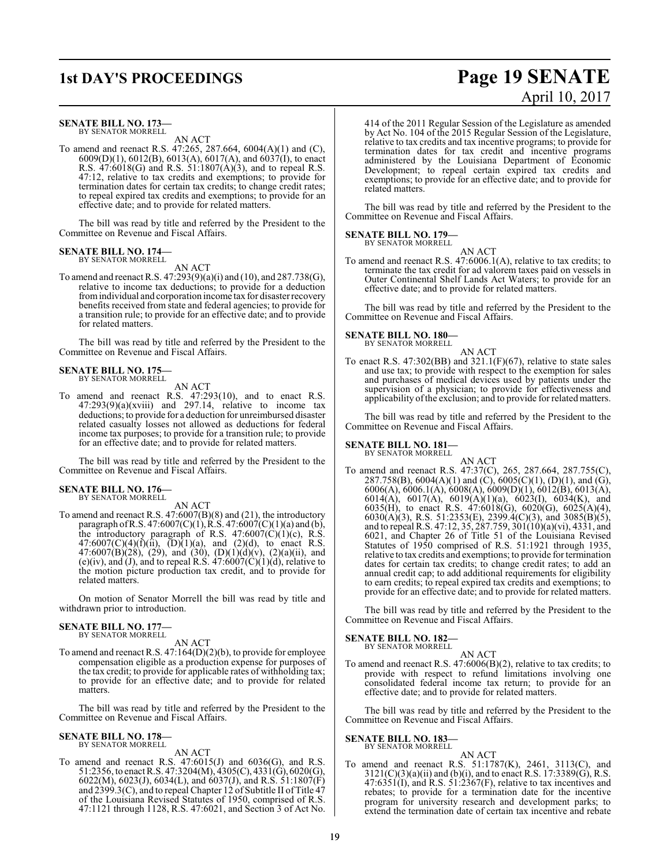### **SENATE BILL NO. 173—**

BY SENATOR MORRELL AN ACT

To amend and reenact R.S. 47:265, 287.664, 6004(A)(1) and (C),  $6009(D)(1)$ ,  $6012(B)$ ,  $6013(A)$ ,  $6017(A)$ , and  $6037(I)$ , to enact R.S. 47:6018(G) and R.S. 51:1807(A)(3), and to repeal R.S. 47:12, relative to tax credits and exemptions; to provide for termination dates for certain tax credits; to change credit rates; to repeal expired tax credits and exemptions; to provide for an effective date; and to provide for related matters.

The bill was read by title and referred by the President to the Committee on Revenue and Fiscal Affairs.

### **SENATE BILL NO. 174—** BY SENATOR MORRELL

AN ACT

To amend and reenact R.S. 47:293(9)(a)(i) and (10), and 287.738(G), relative to income tax deductions; to provide for a deduction fromindividual and corporation income tax for disaster recovery benefits received from state and federal agencies; to provide for a transition rule; to provide for an effective date; and to provide for related matters.

The bill was read by title and referred by the President to the Committee on Revenue and Fiscal Affairs.

### **SENATE BILL NO. 175—** BY SENATOR MORRELL

AN ACT

To amend and reenact R.S. 47:293(10), and to enact R.S.  $47:293(9)(a)(xviii)$  and  $297.14$ , relative to income tax deductions; to provide for a deduction for unreimbursed disaster related casualty losses not allowed as deductions for federal income tax purposes; to provide for a transition rule; to provide for an effective date; and to provide for related matters.

The bill was read by title and referred by the President to the Committee on Revenue and Fiscal Affairs.

#### **SENATE BILL NO. 176—** BY SENATOR MORRELL

AN ACT

To amend and reenact R.S. 47:6007(B)(8) and (21), the introductory paragraph ofR.S. 47:6007(C)(1),R.S. 47:6007(C)(1)(a) and (b), the introductory paragraph of R.S.  $47:6007(C)(1)(c)$ , R.S.  $47:6007(C)(4)(f)(ii)$ ,  $(D)(1)(a)$ , and  $(2)(d)$ , to enact R.S. 47:6007(B)(28), (29), and (30), (D)(1)(d)(v), (2)(a)(ii), and (e)(iv), and (J), and to repeal R.S.  $47:6007(\text{C})(1)(\text{d})$ , relative to the motion picture production tax credit, and to provide for related matters.

On motion of Senator Morrell the bill was read by title and withdrawn prior to introduction.

### **SENATE BILL NO. 177** BY SENATOR MORRELL

AN ACT

To amend and reenact R.S. 47:164(D)(2)(b), to provide for employee compensation eligible as a production expense for purposes of the tax credit; to provide for applicable rates of withholding tax; to provide for an effective date; and to provide for related matters.

The bill was read by title and referred by the President to the Committee on Revenue and Fiscal Affairs.

### **SENATE BILL NO. 178—** BY SENATOR MORRELL

AN ACT

To amend and reenact R.S.  $47:6015(J)$  and  $6036(G)$ , and R.S. 51:2356, to enact R.S. 47:3204(M), 4305(C), 4331(G), 6020(G), 6022(M), 6023(J), 6034(L), and 6037(J), and R.S. 51:1807(F) and  $2399.3(C)$ , and to repeal Chapter 12 of Subtitle II of Title 47 of the Louisiana Revised Statutes of 1950, comprised of R.S. 47:1121 through 1128, R.S. 47:6021, and Section 3 of Act No.

414 of the 2011 Regular Session of the Legislature as amended by Act No. 104 of the 2015 Regular Session of the Legislature, relative to tax credits and tax incentive programs; to provide for termination dates for tax credit and incentive programs administered by the Louisiana Department of Economic Development; to repeal certain expired tax credits and exemptions; to provide for an effective date; and to provide for

The bill was read by title and referred by the President to the Committee on Revenue and Fiscal Affairs.

### **SENATE BILL NO. 179—** BY SENATOR MORRELL

related matters.

AN ACT

To amend and reenact R.S. 47:6006.1(A), relative to tax credits; to terminate the tax credit for ad valorem taxes paid on vessels in Outer Continental Shelf Lands Act Waters; to provide for an effective date; and to provide for related matters.

The bill was read by title and referred by the President to the Committee on Revenue and Fiscal Affairs.

### **SENATE BILL NO. 180—** BY SENATOR MORRELL

AN ACT To enact R.S.  $47:302(BB)$  and  $321.1(F)(67)$ , relative to state sales and use tax; to provide with respect to the exemption for sales and purchases of medical devices used by patients under the supervision of a physician; to provide for effectiveness and applicability ofthe exclusion; and to provide for related matters.

The bill was read by title and referred by the President to the Committee on Revenue and Fiscal Affairs.

### **SENATE BILL NO. 181—** BY SENATOR MORRELL

AN ACT To amend and reenact R.S. 47:37(C), 265, 287.664, 287.755(C), 287.758(B),  $6004(A)(1)$  and  $(C)$ ,  $6005(C)(1)$ ,  $(D)(1)$ , and  $(G)$ , 6006(A), 6006.1(A), 6008(A), 6009(D)(1), 6012(B), 6013(A), 6014(A), 6017(A), 6019(A)(1)(a), 6023(I), 6034(K), and 6035(H), to enact R.S. 47:6018(G), 6020(G), 6025(A)(4), 6030(A)(3), R.S. 51:2353(E), 2399.4(C)(3), and 3085(B)(5), and to repeal R.S. 47:12, 35, 287.759, 301(10)(a)(vi), 4331, and 6021, and Chapter 26 of Title 51 of the Louisiana Revised Statutes of 1950 comprised of R.S. 51:1921 through 1935, relative to tax credits and exemptions; to provide for termination dates for certain tax credits; to change credit rates; to add an annual credit cap; to add additional requirements for eligibility to earn credits; to repeal expired tax credits and exemptions; to provide for an effective date; and to provide for related matters.

The bill was read by title and referred by the President to the Committee on Revenue and Fiscal Affairs.

### **SENATE BILL NO. 182—**

BY SENATOR MORRELL AN ACT

To amend and reenact R.S. 47:6006(B)(2), relative to tax credits; to provide with respect to refund limitations involving one consolidated federal income tax return; to provide for an effective date; and to provide for related matters.

The bill was read by title and referred by the President to the Committee on Revenue and Fiscal Affairs.

**SENATE BILL NO. 183—**

BY SENATOR MORRELL AN ACT

To amend and reenact R.S. 51:1787(K), 2461, 3113(C), and  $3121(C)(3)(a)(ii)$  and (b)(i), and to enact R.S. 17:3389(G), R.S.  $47:6351(I)$ , and R.S.  $51:2367(F)$ , relative to tax incentives and rebates; to provide for a termination date for the incentive program for university research and development parks; to extend the termination date of certain tax incentive and rebate

## **1st DAY'S PROCEEDINGS Page 19 SENATE** April 10, 2017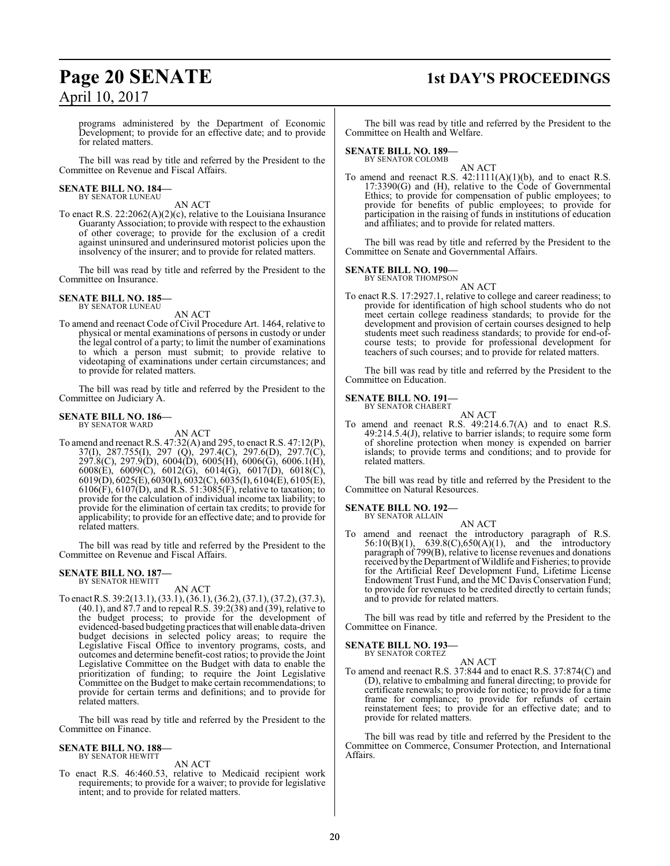## **Page 20 SENATE 1st DAY'S PROCEEDINGS**

programs administered by the Department of Economic Development; to provide for an effective date; and to provide for related matters.

The bill was read by title and referred by the President to the Committee on Revenue and Fiscal Affairs.

### **SENATE BILL NO. 184—** BY SENATOR LUNEAU

AN ACT

To enact R.S. 22:2062(A)(2)(c), relative to the Louisiana Insurance Guaranty Association; to provide with respect to the exhaustion of other coverage; to provide for the exclusion of a credit against uninsured and underinsured motorist policies upon the insolvency of the insurer; and to provide for related matters.

The bill was read by title and referred by the President to the Committee on Insurance.

### **SENATE BILL NO. 185—** BY SENATOR LUNEAU

AN ACT

To amend and reenact Code of Civil Procedure Art. 1464, relative to physical or mental examinations of persons in custody or under the legal control of a party; to limit the number of examinations to which a person must submit; to provide relative to videotaping of examinations under certain circumstances; and to provide for related matters.

The bill was read by title and referred by the President to the Committee on Judiciary A.

#### **SENATE BILL NO. 186—** BY SENATOR WARD

AN ACT

To amend and reenact R.S.  $47:32(A)$  and  $295$ , to enact R.S.  $47:12(P)$ , 37(I), 287.755(I), 297 (Q), 297.4(C), 297.6(D), 297.7(C), 297.8(C), 297.9(D), 6004(D), 6005(H), 6006(G), 6006.1(H), 6008(E), 6009(C), 6012(G), 6014(G), 6017(D), 6018(C), 6019(D), 6025(E), 6030(I), 6032(C), 6035(I), 6104(E), 6105(E), 6106(F), 6107(D), and R.S. 51:3085(F), relative to taxation; to provide for the calculation of individual income tax liability; to provide for the elimination of certain tax credits; to provide for applicability; to provide for an effective date; and to provide for related matters.

The bill was read by title and referred by the President to the Committee on Revenue and Fiscal Affairs.

#### **SENATE BILL NO. 187—** BY SENATOR HEWITT

AN ACT To enact R.S. 39:2(13.1), (33.1), (36.1), (36.2), (37.1), (37.2), (37.3), (40.1), and 87.7 and to repeal R.S. 39:2(38) and (39), relative to the budget process; to provide for the development of evidenced-based budgeting practicesthatwill enable data-driven budget decisions in selected policy areas; to require the Legislative Fiscal Office to inventory programs, costs, and outcomes and determine benefit-cost ratios; to provide the Joint Legislative Committee on the Budget with data to enable the prioritization of funding; to require the Joint Legislative Committee on the Budget to make certain recommendations; to provide for certain terms and definitions; and to provide for related matters.

The bill was read by title and referred by the President to the Committee on Finance.

### **SENATE BILL NO. 188—** BY SENATOR HEWITT

### AN ACT

To enact R.S. 46:460.53, relative to Medicaid recipient work requirements; to provide for a waiver; to provide for legislative intent; and to provide for related matters.

The bill was read by title and referred by the President to the Committee on Health and Welfare.

### **SENATE BILL NO. 189—**

BY SENATOR COLOMB

AN ACT To amend and reenact R.S.  $42:1111(A)(1)(b)$ , and to enact R.S. 17:3390(G) and (H), relative to the Code of Governmental Ethics; to provide for compensation of public employees; to provide for benefits of public employees; to provide for participation in the raising of funds in institutions of education and affiliates; and to provide for related matters.

The bill was read by title and referred by the President to the Committee on Senate and Governmental Affairs.

### **SENATE BILL NO. 190—**

BY SENATOR THOMPSON AN ACT

To enact R.S. 17:2927.1, relative to college and career readiness; to provide for identification of high school students who do not meet certain college readiness standards; to provide for the development and provision of certain courses designed to help students meet such readiness standards; to provide for end-ofcourse tests; to provide for professional development for teachers of such courses; and to provide for related matters.

The bill was read by title and referred by the President to the Committee on Education.

#### **SENATE BILL NO. 191—** BY SENATOR CHABERT

AN ACT

To amend and reenact R.S. 49:214.6.7(A) and to enact R.S. 49:214.5.4(J), relative to barrier islands; to require some form of shoreline protection when money is expended on barrier islands; to provide terms and conditions; and to provide for related matters.

The bill was read by title and referred by the President to the Committee on Natural Resources.

### **SENATE BILL NO. 192—** BY SENATOR ALLAIN

AN ACT

To amend and reenact the introductory paragraph of R.S. 56:10(B)(1), 639.8(C),650(A)(1), and the introductory paragraph of 799(B), relative to license revenues and donations received by the Department of Wildlife and Fisheries; to provide for the Artificial Reef Development Fund, Lifetime License Endowment Trust Fund, and the MC Davis Conservation Fund; to provide for revenues to be credited directly to certain funds; and to provide for related matters.

The bill was read by title and referred by the President to the Committee on Finance.

### **SENATE BILL NO. 193—**

BY SENATOR CORTEZ AN ACT

To amend and reenact R.S. 37:844 and to enact R.S. 37:874(C) and (D), relative to embalming and funeral directing; to provide for certificate renewals; to provide for notice; to provide for a time frame for compliance; to provide for refunds of certain reinstatement fees; to provide for an effective date; and to provide for related matters.

The bill was read by title and referred by the President to the Committee on Commerce, Consumer Protection, and International Affairs.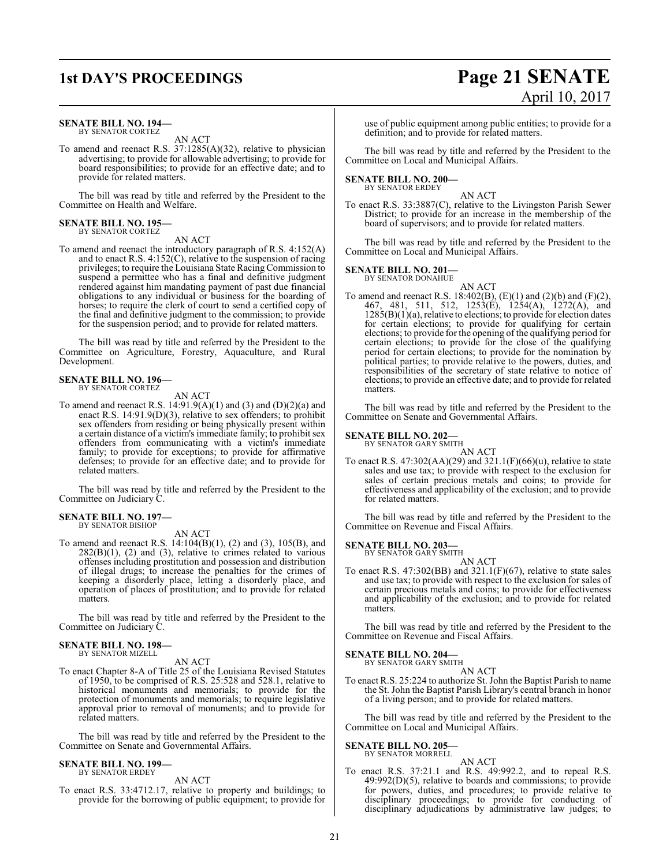### **SENATE BILL NO. 194—** BY SENATOR CORTEZ

AN ACT

To amend and reenact R.S. 37:1285(A)(32), relative to physician advertising; to provide for allowable advertising; to provide for board responsibilities; to provide for an effective date; and to provide for related matters.

The bill was read by title and referred by the President to the Committee on Health and Welfare.

#### **SENATE BILL NO. 195—** BY SENATOR CORTEZ

AN ACT

To amend and reenact the introductory paragraph of R.S. 4:152(A) and to enact R.S. 4:152(C), relative to the suspension of racing privileges; to require the Louisiana State Racing Commission to suspend a permittee who has a final and definitive judgment rendered against him mandating payment of past due financial obligations to any individual or business for the boarding of horses; to require the clerk of court to send a certified copy of the final and definitive judgment to the commission; to provide for the suspension period; and to provide for related matters.

The bill was read by title and referred by the President to the Committee on Agriculture, Forestry, Aquaculture, and Rural Development.

### **SENATE BILL NO. 196—** BY SENATOR CORTEZ

AN ACT

To amend and reenact R.S.  $14:91.9(A)(1)$  and  $(3)$  and  $(D)(2)(a)$  and enact R.S. 14:91.9(D)(3), relative to sex offenders; to prohibit sex offenders from residing or being physically present within a certain distance of a victim's immediate family; to prohibit sex offenders from communicating with a victim's immediate family; to provide for exceptions; to provide for affirmative defenses; to provide for an effective date; and to provide for related matters.

The bill was read by title and referred by the President to the Committee on Judiciary C.

## **SENATE BILL NO. 197—** BY SENATOR BISHOP

AN ACT

To amend and reenact R.S. 14:104(B)(1), (2) and (3), 105(B), and  $282(B)(1)$ , (2) and (3), relative to crimes related to various offenses including prostitution and possession and distribution of illegal drugs; to increase the penalties for the crimes of keeping a disorderly place, letting a disorderly place, and operation of places of prostitution; and to provide for related matters.

The bill was read by title and referred by the President to the Committee on Judiciary C.

#### **SENATE BILL NO. 198—** BY SENATOR MIZELL

AN ACT

To enact Chapter 8-A of Title 25 of the Louisiana Revised Statutes of 1950, to be comprised of R.S. 25:528 and 528.1, relative to historical monuments and memorials; to provide for the protection of monuments and memorials; to require legislative approval prior to removal of monuments; and to provide for related matters.

The bill was read by title and referred by the President to the Committee on Senate and Governmental Affairs.

#### **SENATE BILL NO. 199—** BY SENATOR ERDEY

AN ACT

To enact R.S. 33:4712.17, relative to property and buildings; to provide for the borrowing of public equipment; to provide for

## **1st DAY'S PROCEEDINGS Page 21 SENATE** April 10, 2017

use of public equipment among public entities; to provide for a definition; and to provide for related matters.

The bill was read by title and referred by the President to the Committee on Local and Municipal Affairs.

### **SENATE BILL NO. 200—** BY SENATOR ERDEY

AN ACT

To enact R.S. 33:3887(C), relative to the Livingston Parish Sewer District; to provide for an increase in the membership of the board of supervisors; and to provide for related matters.

The bill was read by title and referred by the President to the Committee on Local and Municipal Affairs.

### **SENATE BILL NO. 201—**

BY SENATOR DONAHUE

AN ACT To amend and reenact R.S. 18:402(B),  $(E)(1)$  and  $(2)(b)$  and  $(F)(2)$ , 467, 481, 511, 512, 1253(E), 1254(A), 1272(A), and  $1285(B)(1)(a)$ , relative to elections; to provide for election dates for certain elections; to provide for qualifying for certain elections; to provide for the opening of the qualifying period for certain elections; to provide for the close of the qualifying period for certain elections; to provide for the nomination by political parties; to provide relative to the powers, duties, and responsibilities of the secretary of state relative to notice of elections; to provide an effective date; and to provide for related matters.

The bill was read by title and referred by the President to the Committee on Senate and Governmental Affairs.

### **SENATE BILL NO. 202—**

BY SENATOR GARY SMITH

AN ACT To enact R.S.  $47:302(AA)(29)$  and  $321.1(F)(66)(u)$ , relative to state sales and use tax; to provide with respect to the exclusion for sales of certain precious metals and coins; to provide for effectiveness and applicability of the exclusion; and to provide for related matters.

The bill was read by title and referred by the President to the Committee on Revenue and Fiscal Affairs.

**SENATE BILL NO. 203—**

BY SENATOR GARY SMITH AN ACT

To enact R.S.  $47:302(BB)$  and  $321.1(F)(67)$ , relative to state sales and use tax; to provide with respect to the exclusion for sales of certain precious metals and coins; to provide for effectiveness and applicability of the exclusion; and to provide for related matters.

The bill was read by title and referred by the President to the Committee on Revenue and Fiscal Affairs.

### **SENATE BILL NO. 204—**

BY SENATOR GARY SMITH AN ACT

To enact R.S. 25:224 to authorize St. John the Baptist Parish to name the St. John the Baptist Parish Library's central branch in honor of a living person; and to provide for related matters.

The bill was read by title and referred by the President to the Committee on Local and Municipal Affairs.

**SENATE BILL NO. 205—** BY SENATOR MORRELL

### AN ACT

To enact R.S. 37:21.1 and R.S. 49:992.2, and to repeal R.S. 49:992(D)(5), relative to boards and commissions; to provide for powers, duties, and procedures; to provide relative to disciplinary proceedings; to provide for conducting of disciplinary adjudications by administrative law judges; to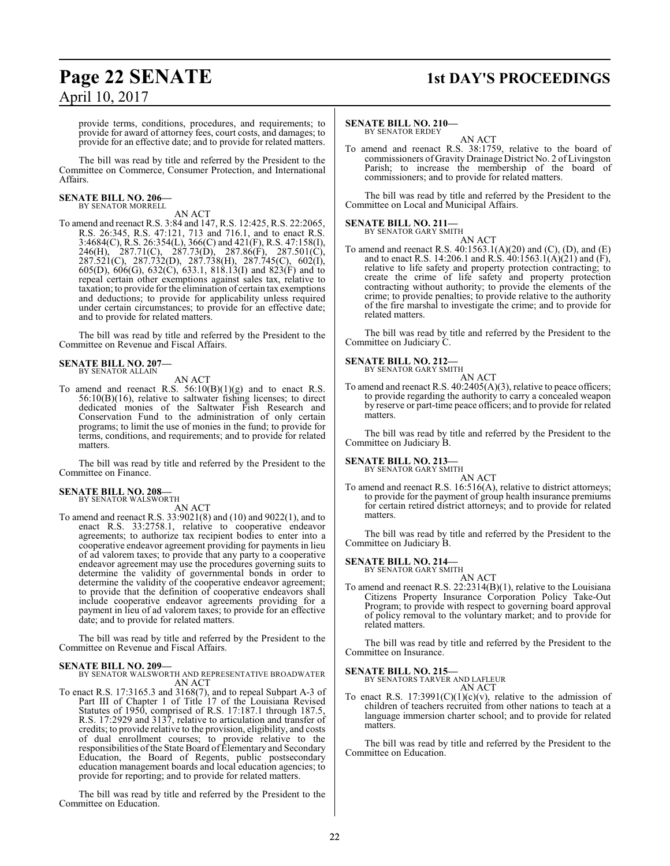### **Page 22 SENATE 1st DAY'S PROCEEDINGS**

provide terms, conditions, procedures, and requirements; to provide for award of attorney fees, court costs, and damages; to provide for an effective date; and to provide for related matters.

The bill was read by title and referred by the President to the Committee on Commerce, Consumer Protection, and International Affairs.

### **SENATE BILL NO. 206—** BY SENATOR MORRELL

AN ACT

To amend and reenact R.S. 3:84 and 147, R.S. 12:425, R.S. 22:2065, R.S. 26:345, R.S. 47:121, 713 and 716.1, and to enact R.S. 3:4684(C), R.S. 26:354(L), 366(C) and 421(F), R.S. 47:158(I), 246(H), 287.71(C), 287.73(D), 287.86(F), 287.501(C), 287.521(C), 287.732(D), 287.738(H), 287.745(C), 602(I), 605(D), 606(G), 632(C), 633.1, 818.13(I) and 823(F) and to repeal certain other exemptions against sales tax, relative to taxation; to provide for the elimination of certain tax exemptions and deductions; to provide for applicability unless required under certain circumstances; to provide for an effective date; and to provide for related matters.

The bill was read by title and referred by the President to the Committee on Revenue and Fiscal Affairs.

### **SENATE BILL NO. 207—** BY SENATOR ALLAIN

AN ACT

To amend and reenact R.S.  $56:10(B)(1)(g)$  and to enact R.S. 56:10(B)(16), relative to saltwater fishing licenses; to direct dedicated monies of the Saltwater Fish Research and Conservation Fund to the administration of only certain programs; to limit the use of monies in the fund; to provide for terms, conditions, and requirements; and to provide for related matters.

The bill was read by title and referred by the President to the Committee on Finance.

## **SENATE BILL NO. 208—** BY SENATOR WALSWORTH

AN ACT

To amend and reenact R.S. 33:9021(8) and (10) and 9022(1), and to enact R.S. 33:2758.1, relative to cooperative endeavor agreements; to authorize tax recipient bodies to enter into a cooperative endeavor agreement providing for payments in lieu of ad valorem taxes; to provide that any party to a cooperative endeavor agreement may use the procedures governing suits to determine the validity of governmental bonds in order to determine the validity of the cooperative endeavor agreement; to provide that the definition of cooperative endeavors shall include cooperative endeavor agreements providing for a payment in lieu of ad valorem taxes; to provide for an effective date; and to provide for related matters.

The bill was read by title and referred by the President to the Committee on Revenue and Fiscal Affairs.

### **SENATE BILL NO. 209—**

BY SENATOR WALSWORTH AND REPRESENTATIVE BROADWATER AN ACT

To enact R.S. 17:3165.3 and 3168(7), and to repeal Subpart A-3 of Part III of Chapter 1 of Title 17 of the Louisiana Revised Statutes of 1950, comprised of R.S. 17:187.1 through 187.5, R.S. 17:2929 and 3137, relative to articulation and transfer of credits; to provide relative to the provision, eligibility, and costs of dual enrollment courses; to provide relative to the responsibilities ofthe State Board of Elementary and Secondary Education, the Board of Regents, public postsecondary education management boards and local education agencies; to provide for reporting; and to provide for related matters.

The bill was read by title and referred by the President to the Committee on Education.

### **SENATE BILL NO. 210—**

BY SENATOR ERDEY AN ACT

To amend and reenact R.S. 38:1759, relative to the board of commissioners of Gravity Drainage District No. 2 of Livingston Parish; to increase the membership of the board of commissioners; and to provide for related matters.

The bill was read by title and referred by the President to the Committee on Local and Municipal Affairs.

### **SENATE BILL NO. 211—** BY SENATOR GARY SMITH

AN ACT To amend and reenact R.S. 40:1563.1(A)(20) and (C), (D), and (E) and to enact R.S. 14:206.1 and R.S. 40:1563.1(A)(21) and (F), relative to life safety and property protection contracting; to create the crime of life safety and property protection contracting without authority; to provide the elements of the crime; to provide penalties; to provide relative to the authority of the fire marshal to investigate the crime; and to provide for related matters.

The bill was read by title and referred by the President to the Committee on Judiciary C.

### **SENATE BILL NO. 212—**

BY SENATOR GARY SMITH

AN ACT

To amend and reenact R.S. 40:2405(A)(3), relative to peace officers; to provide regarding the authority to carry a concealed weapon by reserve or part-time peace officers; and to provide for related matters.

The bill was read by title and referred by the President to the Committee on Judiciary B.

### **SENATE BILL NO. 213—** BY SENATOR GARY SMITH

AN ACT

To amend and reenact R.S. 16:516(A), relative to district attorneys; to provide for the payment of group health insurance premiums for certain retired district attorneys; and to provide for related matters.

The bill was read by title and referred by the President to the Committee on Judiciary B.

### **SENATE BILL NO. 214—**

BY SENATOR GARY SMITH

AN ACT To amend and reenact R.S. 22:2314(B)(1), relative to the Louisiana Citizens Property Insurance Corporation Policy Take-Out Program; to provide with respect to governing board approval of policy removal to the voluntary market; and to provide for related matters.

The bill was read by title and referred by the President to the Committee on Insurance.

### **SENATE BILL NO. 215—**

BY SENATORS TARVER AND LAFLEUR AN ACT

To enact R.S.  $17:3991(C)(1)(c)(v)$ , relative to the admission of children of teachers recruited from other nations to teach at a language immersion charter school; and to provide for related matters.

The bill was read by title and referred by the President to the Committee on Education.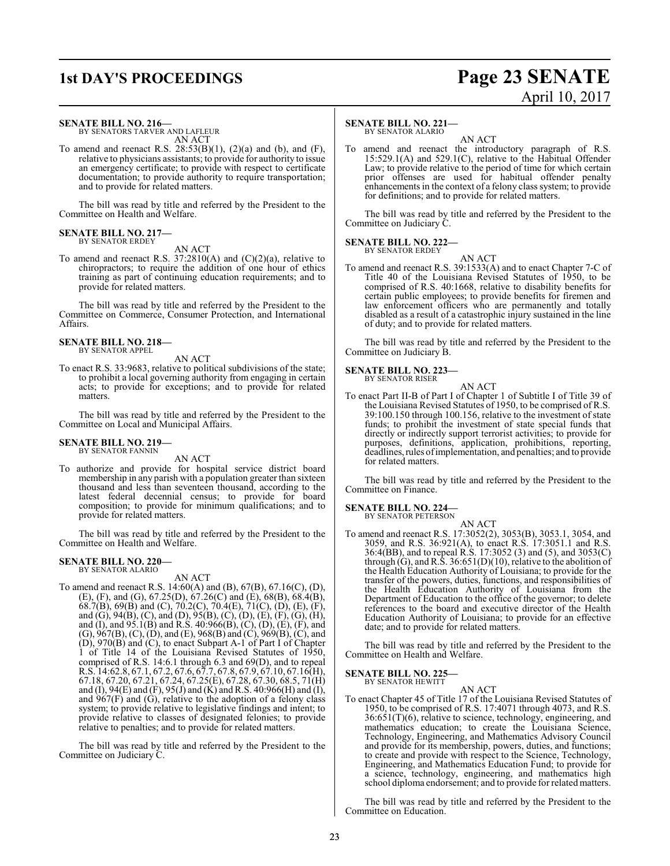### **1st DAY'S PROCEEDINGS Page 23 SENATE** April 10, 2017

### **SENATE BILL NO. 216—**

BY SENATORS TARVER AND LAFLEUR AN ACT

To amend and reenact R.S.  $28:53(B)(1)$ ,  $(2)(a)$  and  $(b)$ , and  $(F)$ , relative to physicians assistants; to provide for authority to issue an emergency certificate; to provide with respect to certificate documentation; to provide authority to require transportation; and to provide for related matters.

The bill was read by title and referred by the President to the Committee on Health and Welfare.

### **SENATE BILL NO. 217—** BY SENATOR ERDEY

AN ACT

To amend and reenact R.S.  $37:2810(A)$  and  $(C)(2)(a)$ , relative to chiropractors; to require the addition of one hour of ethics training as part of continuing education requirements; and to provide for related matters.

The bill was read by title and referred by the President to the Committee on Commerce, Consumer Protection, and International Affairs.

### **SENATE BILL NO. 218—** BY SENATOR APPEL

AN ACT

To enact R.S. 33:9683, relative to political subdivisions of the state; to prohibit a local governing authority from engaging in certain acts; to provide for exceptions; and to provide for related matters.

The bill was read by title and referred by the President to the Committee on Local and Municipal Affairs.

### **SENATE BILL NO. 219—** BY SENATOR FANNIN

AN ACT

To authorize and provide for hospital service district board membership in any parish with a population greater than sixteen thousand and less than seventeen thousand, according to the latest federal decennial census; to provide for board composition; to provide for minimum qualifications; and to provide for related matters.

The bill was read by title and referred by the President to the Committee on Health and Welfare.

#### **SENATE BILL NO. 220—** BY SENATOR ALARIO

AN ACT

To amend and reenact R.S. 14:60(A) and (B), 67(B), 67.16(C), (D), (E), (F), and (G), 67.25(D), 67.26(C) and (E), 68(B), 68.4(B), 68.7(B), 69(B) and (C), 70.2(C), 70.4(E), 71(C), (D), (E), (F), and (G), 94(B), (C), and (D), 95(B), (C), (D), (E), (F), (G), (H), and (I), and 95.1(B) and R.S. 40:966(B), (C), (D), (E), (F), and (G), 967(B), (C), (D), and (E), 968(B) and (C), 969(B), (C), and (D), 970(B) and (C), to enact Subpart A-1 of Part I of Chapter 1 of Title 14 of the Louisiana Revised Statutes of 1950, comprised of R.S. 14:6.1 through 6.3 and 69(D), and to repeal R.S. 14:62.8, 67.1, 67.2, 67.6, 67.7, 67.8, 67.9, 67.10, 67.16(H), 67.18, 67.20, 67.21, 67.24, 67.25(E), 67.28, 67.30, 68.5, 71(H) and (I), 94(E) and (F), 95(J) and (K) and R.S. 40:966(H) and (I), and  $967(F)$  and  $(G)$ , relative to the adoption of a felony class system; to provide relative to legislative findings and intent; to provide relative to classes of designated felonies; to provide relative to penalties; and to provide for related matters.

The bill was read by title and referred by the President to the Committee on Judiciary C.

### **SENATE BILL NO. 221—**

BY SENATOR ALARIO

AN ACT To amend and reenact the introductory paragraph of R.S. 15:529.1(A) and 529.1(C), relative to the Habitual Offender Law; to provide relative to the period of time for which certain prior offenses are used for habitual offender penalty enhancements in the context of a felony class system; to provide for definitions; and to provide for related matters.

The bill was read by title and referred by the President to the Committee on Judiciary C.

**SENATE BILL NO. 222—** BY SENATOR ERDEY

AN ACT

To amend and reenact R.S. 39:1533(A) and to enact Chapter 7-C of Title 40 of the Louisiana Revised Statutes of 1950, to be comprised of R.S. 40:1668, relative to disability benefits for certain public employees; to provide benefits for firemen and law enforcement officers who are permanently and totally disabled as a result of a catastrophic injury sustained in the line of duty; and to provide for related matters.

The bill was read by title and referred by the President to the Committee on Judiciary B.

### **SENATE BILL NO. 223—** BY SENATOR RISER

AN ACT To enact Part II-B of Part I of Chapter 1 of Subtitle I of Title 39 of the Louisiana Revised Statutes of 1950, to be comprised of R.S. 39:100.150 through 100.156, relative to the investment of state funds; to prohibit the investment of state special funds that directly or indirectly support terrorist activities; to provide for purposes, definitions, application, prohibitions, reporting, deadlines, rules of implementation, and penalties; and to provide for related matters.

The bill was read by title and referred by the President to the Committee on Finance.

### **SENATE BILL NO. 224**

BY SENATOR PETERSON

AN ACT To amend and reenact R.S. 17:3052(2), 3053(B), 3053.1, 3054, and 3059, and R.S. 36:921(A), to enact R.S. 17:3051.1 and R.S. 36:4(BB), and to repeal R.S. 17:3052 (3) and (5), and 3053(C) through  $(G)$ , and R.S. 36:651(D)(10), relative to the abolition of the Health Education Authority of Louisiana; to provide for the transfer of the powers, duties, functions, and responsibilities of the Health Education Authority of Louisiana from the Department of Education to the office of the governor; to delete references to the board and executive director of the Health Education Authority of Louisiana; to provide for an effective date; and to provide for related matters.

The bill was read by title and referred by the President to the Committee on Health and Welfare.

### **SENATE BILL NO. 225—** BY SENATOR HEWITT

AN ACT

To enact Chapter 45 of Title 17 of the Louisiana Revised Statutes of 1950, to be comprised of R.S. 17:4071 through 4073, and R.S. 36:651(T)(6), relative to science, technology, engineering, and mathematics education; to create the Louisiana Science, Technology, Engineering, and Mathematics Advisory Council and provide for its membership, powers, duties, and functions; to create and provide with respect to the Science, Technology, Engineering, and Mathematics Education Fund; to provide for a science, technology, engineering, and mathematics high school diploma endorsement; and to provide for related matters.

The bill was read by title and referred by the President to the Committee on Education.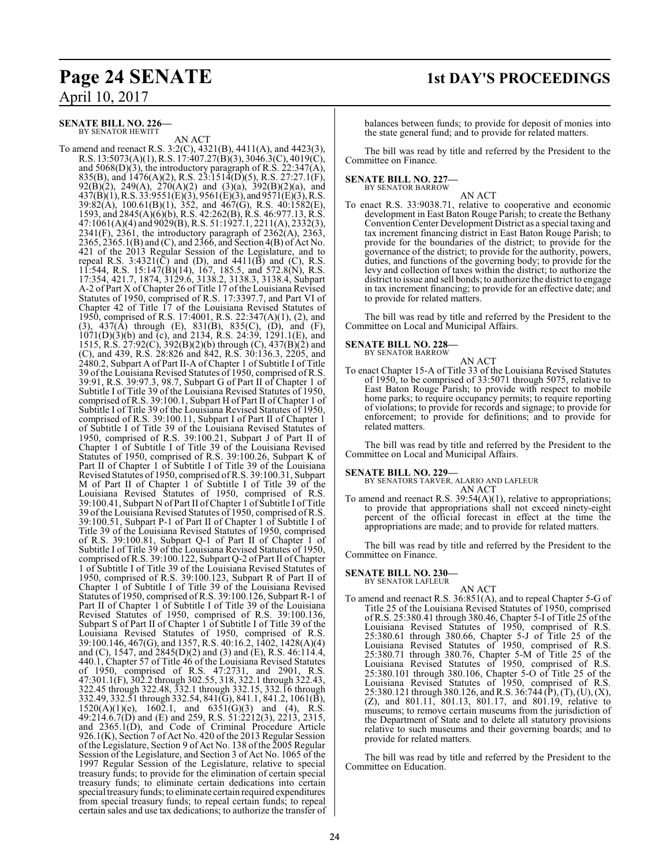### **Page 24 SENATE 1st DAY'S PROCEEDINGS**

April 10, 2017

### **SENATE BILL NO. 226—** BY SENATOR HEWITT

AN ACT

To amend and reenact R.S. 3:2(C), 4321(B), 4411(A), and 4423(3), R.S. 13:5073(A)(1), R.S. 17:407.27(B)(3), 3046.3(C), 4019(C), and 5068(D)(3), the introductory paragraph of R.S. 22:347(A), 835(B), and  $1476(A)(2)$ , R.S. 23:1514(D)(5), R.S. 27:27.1(F), 92(B)(2), 249(A), 270(A)(2) and (3)(a), 392(B)(2)(a), and  $437(B)(1)$ , R.S.  $33:9551(E)(3)$ ,  $9561(E)(3)$ , and  $9571(E)(3)$ , R.S. 39:82(A), 100.61(B)(1), 352, and 467(G), R.S. 40:1582(E), 1593, and 2845(A)(6)(b), R.S. 42:262(B), R.S. 46:977.13, R.S. 47:1061(A)(4) and 9029(B), R.S. 51:1927.1, 2211(A), 2332(3),  $2341(F)$ ,  $2361$ , the introductory paragraph of  $2362(A)$ ,  $2363$ , 2365, 2365.1(B) and (C), and 2366, and Section 4(B) of Act No. 421 of the 2013 Regular Session of the Legislature, and to repeal R.S. 3:4321( $\bar{C}$ ) and (D), and 4411( $\bar{B}$ ) and (C), R.S. 11:544, R.S. 15:147(B)(14), 167, 185.5, and 572.8(N), R.S. 17:354, 421.7, 1874, 3129.6, 3138.2, 3138.3, 3138.4, Subpart A-2 of Part X of Chapter 26 of Title 17 of the Louisiana Revised Statutes of 1950, comprised of R.S. 17:3397.7, and Part VI of Chapter 42 of Title 17 of the Louisiana Revised Statutes of 1950, comprised of R.S. 17:4001, R.S. 22:347(A)(1), (2), and (3), 437(A) through (E), 831(B), 835(C), (D), and (F), 1071(D)(3)(b) and (c), and 2134, R.S. 24:39, 1291.1(E), and 1515, R.S. 27:92(C), 392(B)(2)(b) through (C), 437(B)(2) and (C), and 439, R.S. 28:826 and 842, R.S. 30:136.3, 2205, and 2480.2, Subpart A of Part II-A of Chapter 1 of Subtitle I of Title 39 of the Louisiana Revised Statutes of 1950, comprised of R.S. 39:91, R.S. 39:97.3, 98.7, Subpart G of Part II of Chapter 1 of Subtitle I of Title 39 of the Louisiana Revised Statutes of 1950, comprised of R.S. 39:100.1, Subpart H of Part II of Chapter 1 of Subtitle I of Title 39 of the Louisiana Revised Statutes of 1950, comprised of R.S. 39:100.11, Subpart I of Part II of Chapter 1 of Subtitle I of Title 39 of the Louisiana Revised Statutes of 1950, comprised of R.S. 39:100.21, Subpart J of Part II of Chapter 1 of Subtitle I of Title 39 of the Louisiana Revised Statutes of 1950, comprised of R.S. 39:100.26, Subpart K of Part II of Chapter 1 of Subtitle I of Title 39 of the Louisiana Revised Statutes of 1950, comprised of R.S. 39:100.31, Subpart M of Part II of Chapter 1 of Subtitle I of Title 39 of the Louisiana Revised Statutes of 1950, comprised of R.S. 39:100.41, Subpart N of Part II ofChapter 1 of Subtitle I of Title 39 of the Louisiana Revised Statutes of 1950, comprised of R.S. 39:100.51, Subpart P-1 of Part II of Chapter 1 of Subtitle I of Title 39 of the Louisiana Revised Statutes of 1950, comprised of R.S. 39:100.81, Subpart Q-1 of Part II of Chapter 1 of Subtitle I of Title 39 of the Louisiana Revised Statutes of 1950, comprised ofR.S. 39:100.122, Subpart Q-2 ofPart II ofChapter 1 of Subtitle I of Title 39 of the Louisiana Revised Statutes of 1950, comprised of R.S. 39:100.123, Subpart R of Part II of Chapter 1 of Subtitle I of Title 39 of the Louisiana Revised Statutes of 1950, comprised of R.S. 39:100.126, Subpart R-1 of Part II of Chapter 1 of Subtitle I of Title 39 of the Louisiana Revised Statutes of 1950, comprised of R.S. 39:100.136, Subpart S of Part II of Chapter 1 of Subtitle I of Title 39 of the Louisiana Revised Statutes of 1950, comprised of R.S. 39:100.146, 467(G), and 1357, R.S. 40:16.2, 1402, 1428(A)(4) and (C), 1547, and  $(2845(D)(2)$  and  $(3)$  and  $(E)$ , R.S. 46:114.4, 440.1, Chapter 57 of Title 46 of the Louisiana Revised Statutes of 1950, comprised of R.S. 47:2731, and 2901, R.S. 47:301.1(F), 302.2 through 302.55, 318, 322.1 through 322.43, 322.45 through 322.48, 332.1 through 332.15, 332.16 through 332.49, 332.51 through 332.54, 841(G), 841.1, 841.2, 1061(B),  $1520(A)(1)(e)$ ,  $160\overline{2} \cdot 1$ , and  $6351(\overline{G})(3)$  and (4), R.S. 49:214.6.7(D) and (E) and 259, R.S. 51:2212(3), 2213, 2315, and 2365.1(D), and Code of Criminal Procedure Article 926.1(K), Section 7 of Act No. 420 of the 2013 Regular Session of the Legislature, Section 9 of Act No. 138 ofthe 2005 Regular Session of the Legislature, and Section 3 of Act No. 1065 of the 1997 Regular Session of the Legislature, relative to special treasury funds; to provide for the elimination of certain special treasury funds; to eliminate certain dedications into certain special treasury funds; to eliminate certain required expenditures from special treasury funds; to repeal certain funds; to repeal certain sales and use tax dedications; to authorize the transfer of balances between funds; to provide for deposit of monies into the state general fund; and to provide for related matters.

The bill was read by title and referred by the President to the Committee on Finance.

## **SENATE BILL NO. 227—** BY SENATOR BARROW

AN ACT

To enact R.S. 33:9038.71, relative to cooperative and economic development in East Baton Rouge Parish; to create the Bethany Convention Center Development District as a special taxing and tax increment financing district in East Baton Rouge Parish; to provide for the boundaries of the district; to provide for the governance of the district; to provide for the authority, powers, duties, and functions of the governing body; to provide for the levy and collection of taxes within the district; to authorize the district to issue and sell bonds; to authorize the district to engage in tax increment financing; to provide for an effective date; and to provide for related matters.

The bill was read by title and referred by the President to the Committee on Local and Municipal Affairs.

**SENATE BILL NO. 228—** BY SENATOR BARROW

AN ACT

To enact Chapter 15-A of Title 33 of the Louisiana Revised Statutes of 1950, to be comprised of 33:5071 through 5075, relative to East Baton Rouge Parish; to provide with respect to mobile home parks; to require occupancy permits; to require reporting of violations; to provide for records and signage; to provide for enforcement; to provide for definitions; and to provide for related matters.

The bill was read by title and referred by the President to the Committee on Local and Municipal Affairs.

### **SENATE BILL NO. 229—**

BY SENATORS TARVER, ALARIO AND LAFLEUR

AN ACT To amend and reenact R.S. 39:54(A)(1), relative to appropriations; to provide that appropriations shall not exceed ninety-eight percent of the official forecast in effect at the time the appropriations are made; and to provide for related matters.

The bill was read by title and referred by the President to the Committee on Finance.

#### **SENATE BILL NO. 230—** BY SENATOR LAFLEUR

AN ACT

To amend and reenact R.S. 36:851(A), and to repeal Chapter 5-G of Title 25 of the Louisiana Revised Statutes of 1950, comprised of R.S. 25:380.41 through 380.46, Chapter 5-I of Title 25 of the Louisiana Revised Statutes of 1950, comprised of R.S. 25:380.61 through 380.66, Chapter 5-J of Title 25 of the Louisiana Revised Statutes of 1950, comprised of R.S. 25:380.71 through 380.76, Chapter 5-M of Title 25 of the Louisiana Revised Statutes of 1950, comprised of R.S. 25:380.101 through 380.106, Chapter 5-O of Title 25 of the Louisiana Revised Statutes of 1950, comprised of R.S. 25:380.121 through 380.126, and R.S. 36:744 (P), (T), (U), (X), (Z), and 801.11, 801.13, 801.17, and 801.19, relative to museums; to remove certain museums from the jurisdiction of the Department of State and to delete all statutory provisions relative to such museums and their governing boards; and to provide for related matters.

The bill was read by title and referred by the President to the Committee on Education.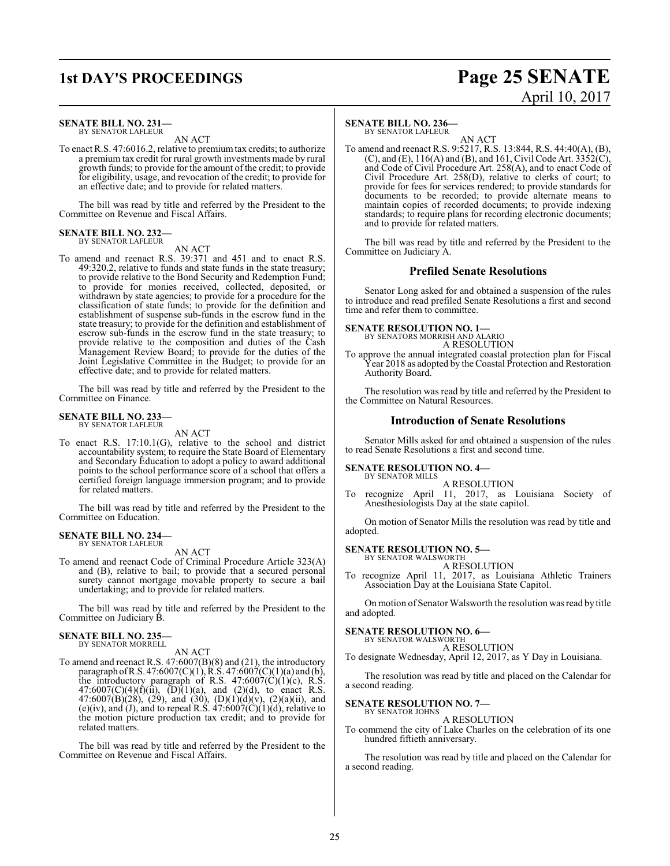### **1st DAY'S PROCEEDINGS Page 25 SENATE** April 10, 2017

### **SENATE BILL NO. 231—** BY SENATOR LAFLEUR

AN ACT

To enact R.S. 47:6016.2, relative to premiumtax credits; to authorize a premium tax credit for rural growth investments made by rural growth funds; to provide for the amount of the credit; to provide for eligibility, usage, and revocation of the credit; to provide for an effective date; and to provide for related matters.

The bill was read by title and referred by the President to the Committee on Revenue and Fiscal Affairs.

### **SENATE BILL NO. 232—** BY SENATOR LAFLEUR

AN ACT

To amend and reenact R.S. 39:371 and 451 and to enact R.S. 49:320.2, relative to funds and state funds in the state treasury; to provide relative to the Bond Security and Redemption Fund; to provide for monies received, collected, deposited, or withdrawn by state agencies; to provide for a procedure for the classification of state funds; to provide for the definition and establishment of suspense sub-funds in the escrow fund in the state treasury; to provide for the definition and establishment of escrow sub-funds in the escrow fund in the state treasury; to provide relative to the composition and duties of the Cash Management Review Board; to provide for the duties of the Joint Legislative Committee in the Budget; to provide for an effective date; and to provide for related matters.

The bill was read by title and referred by the President to the Committee on Finance.

### **SENATE BILL NO. 233—** BY SENATOR LAFLEUR

AN ACT

To enact R.S. 17:10.1(G), relative to the school and district accountability system; to require the State Board of Elementary and Secondary Education to adopt a policy to award additional points to the school performance score of a school that offers a certified foreign language immersion program; and to provide for related matters.

The bill was read by title and referred by the President to the Committee on Education.

### **SENATE BILL NO. 234—** BY SENATOR LAFLEUR

AN ACT

To amend and reenact Code of Criminal Procedure Article 323(A) and (B), relative to bail; to provide that a secured personal surety cannot mortgage movable property to secure a bail undertaking; and to provide for related matters.

The bill was read by title and referred by the President to the Committee on Judiciary B.

## **SENATE BILL NO. 235—** BY SENATOR MORRELL

AN ACT

To amend and reenact R.S. 47:6007(B)(8) and (21), the introductory paragraph of R.S. 47:6007(C)(1), R.S. 47:6007(C)(1)(a) and (b), the introductory paragraph of R.S.  $47:6007(\text{C})(1)(\text{c})$ , R.S.  $47:6007(C)(4)(f)(ii)$ ,  $(D)(1)(a)$ , and  $(2)(d)$ , to enact R.S. 47:6007(B)(28), (29), and (30), (D)(1)(d)(v), (2)(a)(ii), and (e)(iv), and (J), and to repeal R.S.  $47:6007(C)(1)(d)$ , relative to the motion picture production tax credit; and to provide for related matters.

The bill was read by title and referred by the President to the Committee on Revenue and Fiscal Affairs.

### **SENATE BILL NO. 236—**

BY SENATOR LAFLEUR

AN ACT To amend and reenact R.S. 9:5217, R.S. 13:844, R.S. 44:40(A), (B), (C), and (E),  $116(A)$  and (B), and 161, Civil Code Art.  $3352(C)$ , and Code of Civil Procedure Art. 258(A), and to enact Code of Civil Procedure Art. 258(D), relative to clerks of court; to provide for fees for services rendered; to provide standards for documents to be recorded; to provide alternate means to maintain copies of recorded documents; to provide indexing standards; to require plans for recording electronic documents; and to provide for related matters.

The bill was read by title and referred by the President to the Committee on Judiciary A.

### **Prefiled Senate Resolutions**

Senator Long asked for and obtained a suspension of the rules to introduce and read prefiled Senate Resolutions a first and second time and refer them to committee.

### **SENATE RESOLUTION NO. 1—**

BY SENATORS MORRISH AND ALARIO A RESOLUTION

To approve the annual integrated coastal protection plan for Fiscal Year 2018 as adopted by the Coastal Protection and Restoration Authority Board.

The resolution was read by title and referred by the President to the Committee on Natural Resources.

### **Introduction of Senate Resolutions**

Senator Mills asked for and obtained a suspension of the rules to read Senate Resolutions a first and second time.

### **SENATE RESOLUTION NO. 4—** BY SENATOR MILLS

A RESOLUTION

To recognize April 11, 2017, as Louisiana Society of Anesthesiologists Day at the state capitol.

On motion of Senator Mills the resolution was read by title and adopted.

### **SENATE RESOLUTION NO. 5—**

BY SENATOR WALSWORTH A RESOLUTION

To recognize April 11, 2017, as Louisiana Athletic Trainers Association Day at the Louisiana State Capitol.

On motion of Senator Walsworth the resolution was read by title and adopted.

### **SENATE RESOLUTION NO. 6—**

BY SENATOR WALSWORTH A RESOLUTION

To designate Wednesday, April 12, 2017, as Y Day in Louisiana.

The resolution was read by title and placed on the Calendar for a second reading.

#### **SENATE RESOLUTION NO. 7—** BY SENATOR JOHNS

A RESOLUTION

To commend the city of Lake Charles on the celebration of its one hundred fiftieth anniversary.

The resolution was read by title and placed on the Calendar for a second reading.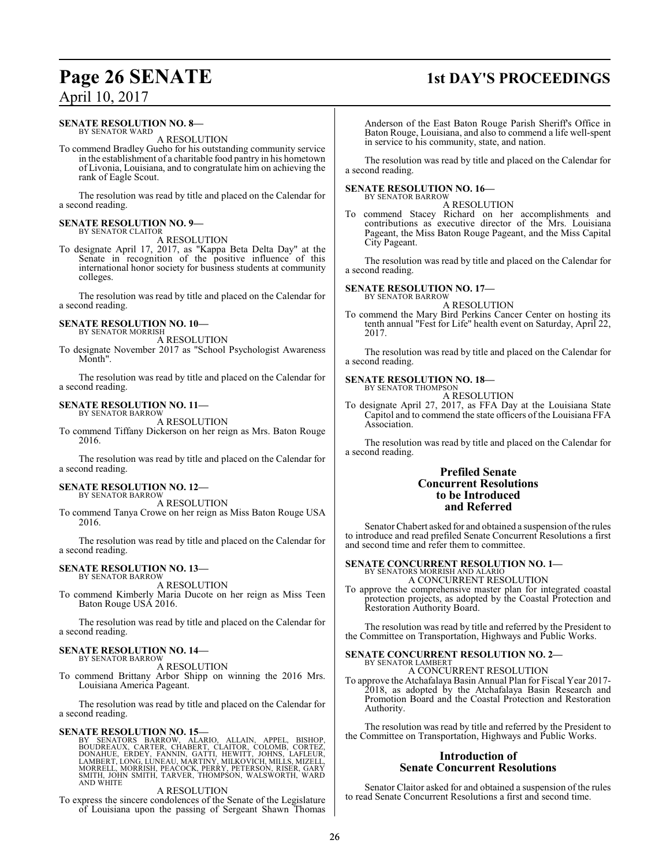### **Page 26 SENATE 1st DAY'S PROCEEDINGS**

# April 10, 2017

### **SENATE RESOLUTION NO. 8—** BY SENATOR WARD

A RESOLUTION

To commend Bradley Gueho for his outstanding community service in the establishment of a charitable food pantry in his hometown of Livonia, Louisiana, and to congratulate him on achieving the rank of Eagle Scout.

The resolution was read by title and placed on the Calendar for a second reading.

#### **SENATE RESOLUTION NO. 9—** BY SENATOR CLAITOR

A RESOLUTION

To designate April 17, 2017, as "Kappa Beta Delta Day" at the Senate in recognition of the positive influence of this international honor society for business students at community colleges.

The resolution was read by title and placed on the Calendar for a second reading.

### **SENATE RESOLUTION NO. 10—** BY SENATOR MORRISH

A RESOLUTION

To designate November 2017 as "School Psychologist Awareness Month".

The resolution was read by title and placed on the Calendar for a second reading.

### **SENATE RESOLUTION NO. 11—**

BY SENATOR BARROW A RESOLUTION

To commend Tiffany Dickerson on her reign as Mrs. Baton Rouge 2016.

The resolution was read by title and placed on the Calendar for a second reading.

### **SENATE RESOLUTION NO. 12—** BY SENATOR BARROW

A RESOLUTION

To commend Tanya Crowe on her reign as Miss Baton Rouge USA 2016.

The resolution was read by title and placed on the Calendar for a second reading.

### **SENATE RESOLUTION NO. 13—**

BY SENATOR BARROW A RESOLUTION

To commend Kimberly Maria Ducote on her reign as Miss Teen Baton Rouge USA 2016.

The resolution was read by title and placed on the Calendar for a second reading.

### **SENATE RESOLUTION NO. 14—** BY SENATOR BARROW

A RESOLUTION

To commend Brittany Arbor Shipp on winning the 2016 Mrs. Louisiana America Pageant.

The resolution was read by title and placed on the Calendar for a second reading.

### **SENATE RESOLUTION NO. 15—**

BY SENATORS BARROW, ALARIO, ALLAIN, APPEL, BISHOP,<br>BOUDREAUX, CARTER, CHABERT, CLAITOR, COLOMB, CORTEZ,<br>DONAHUE, ERDEY, FANNIN, GATTI, HEWITT, JOHNS, LAFLEUR,<br>LAMBERT,LONG,LUNEAU,MARTINY,MILKOVICH,MILLS,MIZELL,<br>MORRELL,MOR

### A RESOLUTION

To express the sincere condolences of the Senate of the Legislature of Louisiana upon the passing of Sergeant Shawn Thomas

Anderson of the East Baton Rouge Parish Sheriff's Office in Baton Rouge, Louisiana, and also to commend a life well-spent in service to his community, state, and nation.

The resolution was read by title and placed on the Calendar for a second reading.

### **SENATE RESOLUTION NO. 16—** BY SENATOR BARROW

A RESOLUTION

To commend Stacey Richard on her accomplishments and contributions as executive director of the Mrs. Louisiana Pageant, the Miss Baton Rouge Pageant, and the Miss Capital City Pageant.

The resolution was read by title and placed on the Calendar for a second reading.

### **SENATE RESOLUTION NO. 17—**

BY SENATOR BARROW A RESOLUTION

To commend the Mary Bird Perkins Cancer Center on hosting its tenth annual "Fest for Life" health event on Saturday, April 22, 2017.

The resolution was read by title and placed on the Calendar for a second reading.

### **SENATE RESOLUTION NO. 18—**

BY SENATOR THOMPSON A RESOLUTION

To designate April 27, 2017, as FFA Day at the Louisiana State Capitol and to commend the state officers of the Louisiana FFA Association.

The resolution was read by title and placed on the Calendar for a second reading.

### **Prefiled Senate Concurrent Resolutions to be Introduced and Referred**

Senator Chabert asked for and obtained a suspension of the rules to introduce and read prefiled Senate Concurrent Resolutions a first and second time and refer them to committee.

### **SENATE CONCURRENT RESOLUTION NO. 1—** BY SENATORS MORRISH AND ALARIO

A CONCURRENT RESOLUTION

To approve the comprehensive master plan for integrated coastal protection projects, as adopted by the Coastal Protection and Restoration Authority Board.

The resolution was read by title and referred by the President to the Committee on Transportation, Highways and Public Works.

### **SENATE CONCURRENT RESOLUTION NO. 2—** BY SENATOR LAMBERT A CONCURRENT RESOLUTION

To approve the Atchafalaya Basin Annual Plan for Fiscal Year 2017- 2018, as adopted by the Atchafalaya Basin Research and Promotion Board and the Coastal Protection and Restoration Authority.

The resolution was read by title and referred by the President to the Committee on Transportation, Highways and Public Works.

### **Introduction of Senate Concurrent Resolutions**

Senator Claitor asked for and obtained a suspension of the rules to read Senate Concurrent Resolutions a first and second time.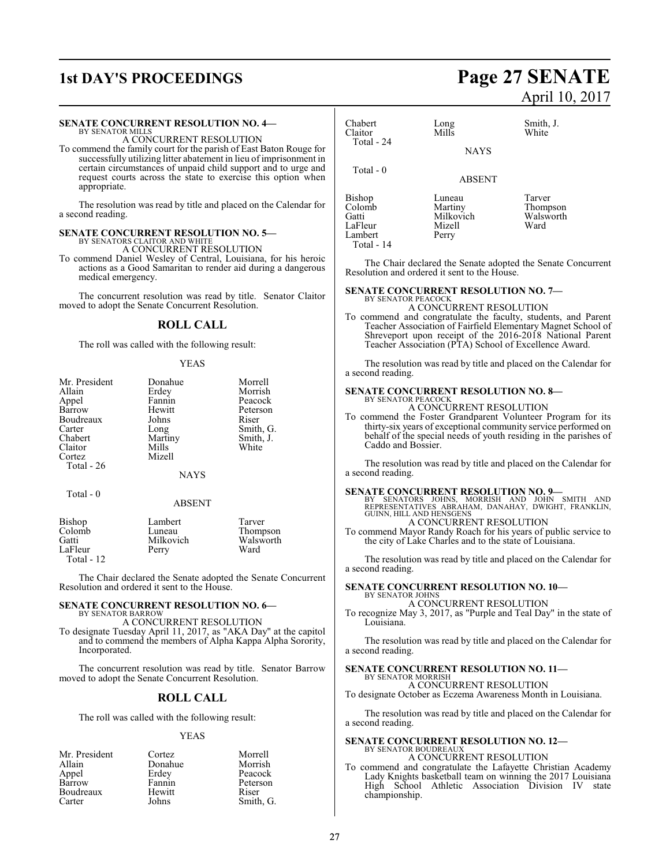## **1st DAY'S PROCEEDINGS Page 27 SENATE**

### **SENATE CONCURRENT RESOLUTION NO. 4—**

BY SENATOR MILLS A CONCURRENT RESOLUTION

To commend the family court for the parish of East Baton Rouge for successfully utilizing litter abatement in lieu of imprisonment in certain circumstances of unpaid child support and to urge and request courts across the state to exercise this option when appropriate.

The resolution was read by title and placed on the Calendar for a second reading.

### **SENATE CONCURRENT RESOLUTION NO. 5—** BY SENATORS CLAITOR AND WHITE A CONCURRENT RESOLUTION

To commend Daniel Wesley of Central, Louisiana, for his heroic actions as a Good Samaritan to render aid during a dangerous medical emergency.

The concurrent resolution was read by title. Senator Claitor moved to adopt the Senate Concurrent Resolution.

### **ROLL CALL**

The roll was called with the following result:

### YEAS

| Mr. President | Donahue       | Morrell   |
|---------------|---------------|-----------|
| Allain        | Erdey         | Morrish   |
| Appel         | Fannin        | Peacock   |
| Barrow        | Hewitt        | Peterson  |
| Boudreaux     | Johns         | Riser     |
| Carter        | Long          | Smith, G. |
| Chabert       | Martiny       | Smith, J. |
| Claitor       | Mills         | White     |
| Cortez        | Mizell        |           |
| Total - 26    |               |           |
|               | <b>NAYS</b>   |           |
| Total - 0     |               |           |
|               | <b>ABSENT</b> |           |
| Rishon        | I amhert      | Tarver    |

| Bishop     | Lambert   | Tarver    |
|------------|-----------|-----------|
| Colomb     | Luneau    | Thompson  |
| Gatti      | Milkovich | Walsworth |
| LaFleur    | Perry     | Ward      |
| Total - 12 |           |           |

The Chair declared the Senate adopted the Senate Concurrent Resolution and ordered it sent to the House.

### **SENATE CONCURRENT RESOLUTION NO. 6—** BY SENATOR BARROW

A CONCURRENT RESOLUTION

To designate Tuesday April 11, 2017, as "AKA Day" at the capitol and to commend the members of Alpha Kappa Alpha Sorority, Incorporated.

The concurrent resolution was read by title. Senator Barrow moved to adopt the Senate Concurrent Resolution.

### **ROLL CALL**

The roll was called with the following result:

### YEAS

| Mr. President | Cortez  | Morrell   |
|---------------|---------|-----------|
| Allain        | Donahue | Morrish   |
| Appel         | Erdey   | Peacock   |
| Barrow        | Fannin  | Peterson  |
| Boudreaux     | Hewitt  | Riser     |
| Carter        | Johns   | Smith, G. |

# April 10, 2017

| Chabert<br>Claitor<br>Total - 24                              | Long<br>Mills                                     | Smith, J.<br>White                      |
|---------------------------------------------------------------|---------------------------------------------------|-----------------------------------------|
|                                                               | <b>NAYS</b>                                       |                                         |
| Total $-0$                                                    | <b>ABSENT</b>                                     |                                         |
| Bishop<br>Colomb<br>Gatti<br>LaFleur<br>Lambert<br>Total - 14 | Luneau<br>Martiny<br>Milkovich<br>Mizell<br>Perry | Tarver<br>Thompson<br>Walsworth<br>Ward |

The Chair declared the Senate adopted the Senate Concurrent Resolution and ordered it sent to the House.

### **SENATE CONCURRENT RESOLUTION NO. 7—**

BY SENATOR PEACOCK A CONCURRENT RESOLUTION

To commend and congratulate the faculty, students, and Parent Teacher Association of Fairfield Elementary Magnet School of Shreveport upon receipt of the 2016-2018 National Parent Teacher Association (PTA) School of Excellence Award.

The resolution was read by title and placed on the Calendar for a second reading.

#### **SENATE CONCURRENT RESOLUTION NO. 8—** BY SENATOR PEACOCK

A CONCURRENT RESOLUTION

To commend the Foster Grandparent Volunteer Program for its thirty-six years of exceptional community service performed on behalf of the special needs of youth residing in the parishes of Caddo and Bossier.

The resolution was read by title and placed on the Calendar for a second reading.

**SENATE CONCURRENT RESOLUTION NO. 9**<br>BY SENATORS JOHNS, MORRISH AND JOHN SMITH AND<br>REPRESENTATIVES ABRAHAM, DANAHAY, DWIGHT, FRANKLIN,<br>GUINN, HILL AND HENSGENS

A CONCURRENT RESOLUTION To commend Mayor Randy Roach for his years of public service to

the city of Lake Charles and to the state of Louisiana.

The resolution was read by title and placed on the Calendar for a second reading.

### **SENATE CONCURRENT RESOLUTION NO. 10—** BY SENATOR JOHNS

A CONCURRENT RESOLUTION

To recognize May 3, 2017, as "Purple and Teal Day" in the state of Louisiana.

The resolution was read by title and placed on the Calendar for a second reading.

### **SENATE CONCURRENT RESOLUTION NO. 11—**

BY SENATOR MORRISH A CONCURRENT RESOLUTION

To designate October as Eczema Awareness Month in Louisiana.

The resolution was read by title and placed on the Calendar for a second reading.

### **SENATE CONCURRENT RESOLUTION NO. 12—** BY SENATOR BOUDREAUX

A CONCURRENT RESOLUTION

To commend and congratulate the Lafayette Christian Academy Lady Knights basketball team on winning the 2017 Louisiana High School Athletic Association Division IV state championship.